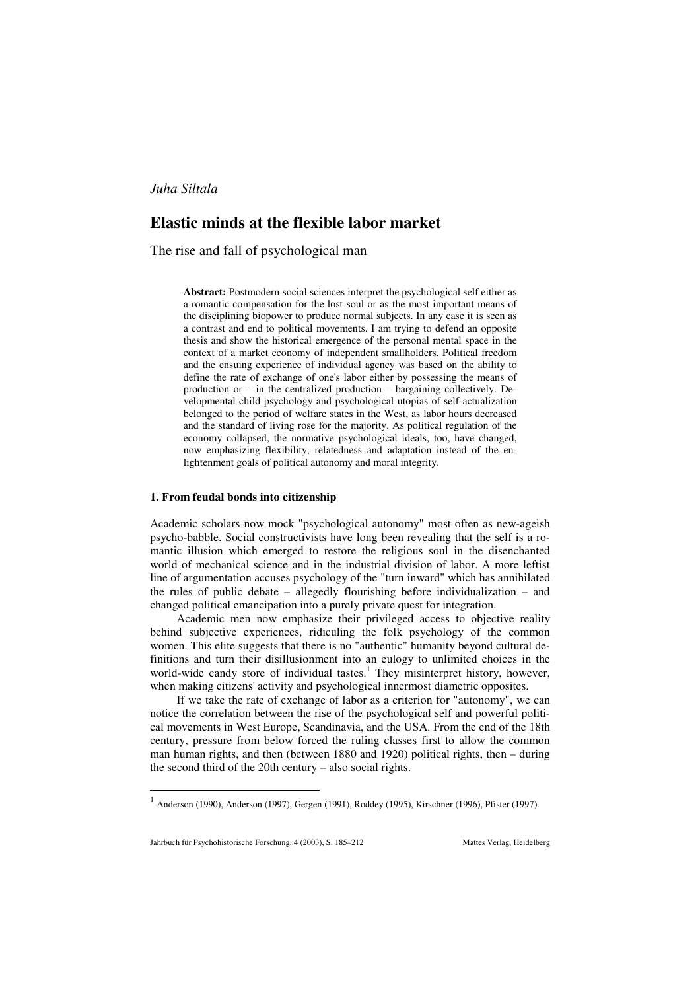# **Elastic minds at the flexible labor market**

The rise and fall of psychological man

**Abstract:** Postmodern social sciences interpret the psychological self either as a romantic compensation for the lost soul or as the most important means of the disciplining biopower to produce normal subjects. In any case it is seen as a contrast and end to political movements. I am trying to defend an opposite thesis and show the historical emergence of the personal mental space in the context of a market economy of independent smallholders. Political freedom and the ensuing experience of individual agency was based on the ability to define the rate of exchange of one's labor either by possessing the means of production or – in the centralized production – bargaining collectively. Developmental child psychology and psychological utopias of self-actualization belonged to the period of welfare states in the West, as labor hours decreased and the standard of living rose for the majority. As political regulation of the economy collapsed, the normative psychological ideals, too, have changed, now emphasizing flexibility, relatedness and adaptation instead of the enlightenment goals of political autonomy and moral integrity.

## **1. From feudal bonds into citizenship**

Academic scholars now mock "psychological autonomy" most often as new-ageish psycho-babble. Social constructivists have long been revealing that the self is a romantic illusion which emerged to restore the religious soul in the disenchanted world of mechanical science and in the industrial division of labor. A more leftist line of argumentation accuses psychology of the "turn inward" which has annihilated the rules of public debate – allegedly flourishing before individualization – and changed political emancipation into a purely private quest for integration.

Academic men now emphasize their privileged access to objective reality behind subjective experiences, ridiculing the folk psychology of the common women. This elite suggests that there is no "authentic" humanity beyond cultural definitions and turn their disillusionment into an eulogy to unlimited choices in the world-wide candy store of individual tastes.<sup>1</sup> They misinterpret history, however, when making citizens' activity and psychological innermost diametric opposites.

If we take the rate of exchange of labor as a criterion for "autonomy", we can notice the correlation between the rise of the psychological self and powerful political movements in West Europe, Scandinavia, and the USA. From the end of the 18th century, pressure from below forced the ruling classes first to allow the common man human rights, and then (between 1880 and 1920) political rights, then – during the second third of the 20th century – also social rights.

 $1$  Anderson (1990), Anderson (1997), Gergen (1991), Roddey (1995), Kirschner (1996), Pfister (1997).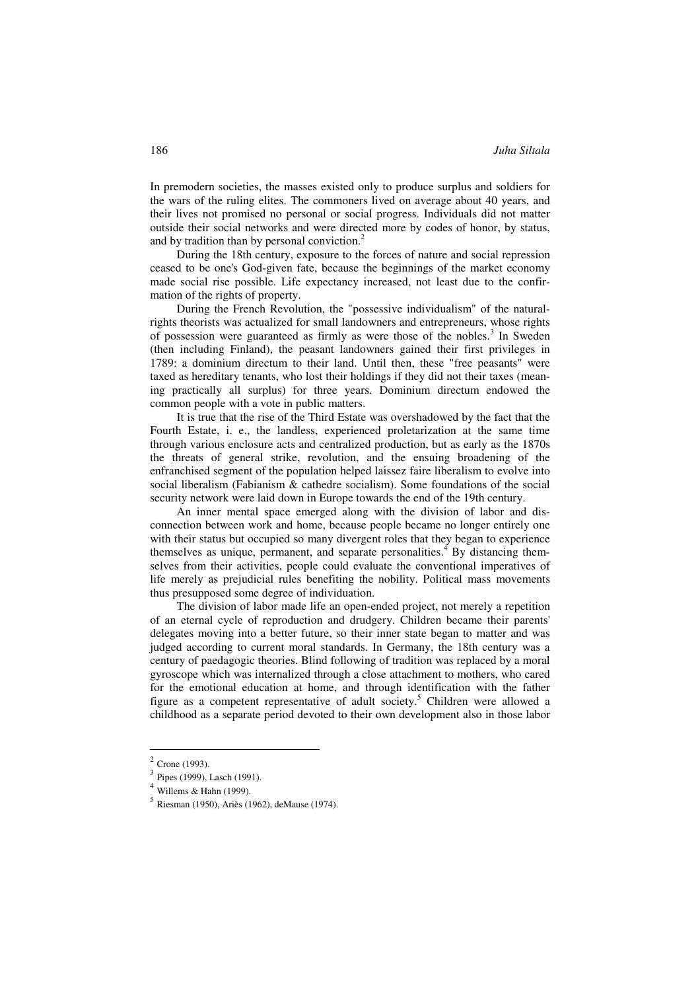In premodern societies, the masses existed only to produce surplus and soldiers for the wars of the ruling elites. The commoners lived on average about 40 years, and their lives not promised no personal or social progress. Individuals did not matter outside their social networks and were directed more by codes of honor, by status, and by tradition than by personal conviction.<sup>2</sup>

During the 18th century, exposure to the forces of nature and social repression ceased to be one's God-given fate, because the beginnings of the market economy made social rise possible. Life expectancy increased, not least due to the confirmation of the rights of property.

During the French Revolution, the "possessive individualism" of the naturalrights theorists was actualized for small landowners and entrepreneurs, whose rights of possession were guaranteed as firmly as were those of the nobles.<sup>3</sup> In Sweden (then including Finland), the peasant landowners gained their first privileges in 1789: a dominium directum to their land. Until then, these "free peasants" were taxed as hereditary tenants, who lost their holdings if they did not their taxes (meaning practically all surplus) for three years. Dominium directum endowed the common people with a vote in public matters.

It is true that the rise of the Third Estate was overshadowed by the fact that the Fourth Estate, i. e., the landless, experienced proletarization at the same time through various enclosure acts and centralized production, but as early as the 1870s the threats of general strike, revolution, and the ensuing broadening of the enfranchised segment of the population helped laissez faire liberalism to evolve into social liberalism (Fabianism & cathedre socialism). Some foundations of the social security network were laid down in Europe towards the end of the 19th century.

An inner mental space emerged along with the division of labor and disconnection between work and home, because people became no longer entirely one with their status but occupied so many divergent roles that they began to experience themselves as unique, permanent, and separate personalities.<sup>4</sup> By distancing themselves from their activities, people could evaluate the conventional imperatives of life merely as prejudicial rules benefiting the nobility. Political mass movements thus presupposed some degree of individuation.

The division of labor made life an open-ended project, not merely a repetition of an eternal cycle of reproduction and drudgery. Children became their parents' delegates moving into a better future, so their inner state began to matter and was judged according to current moral standards. In Germany, the 18th century was a century of paedagogic theories. Blind following of tradition was replaced by a moral gyroscope which was internalized through a close attachment to mothers, who cared for the emotional education at home, and through identification with the father figure as a competent representative of adult society.<sup>5</sup> Children were allowed a childhood as a separate period devoted to their own development also in those labor

 $2$  Crone (1993).

 $3$  Pipes (1999), Lasch (1991).

 $4$  Willems & Hahn (1999).

<sup>5</sup> Riesman (1950), Ariès (1962), deMause (1974).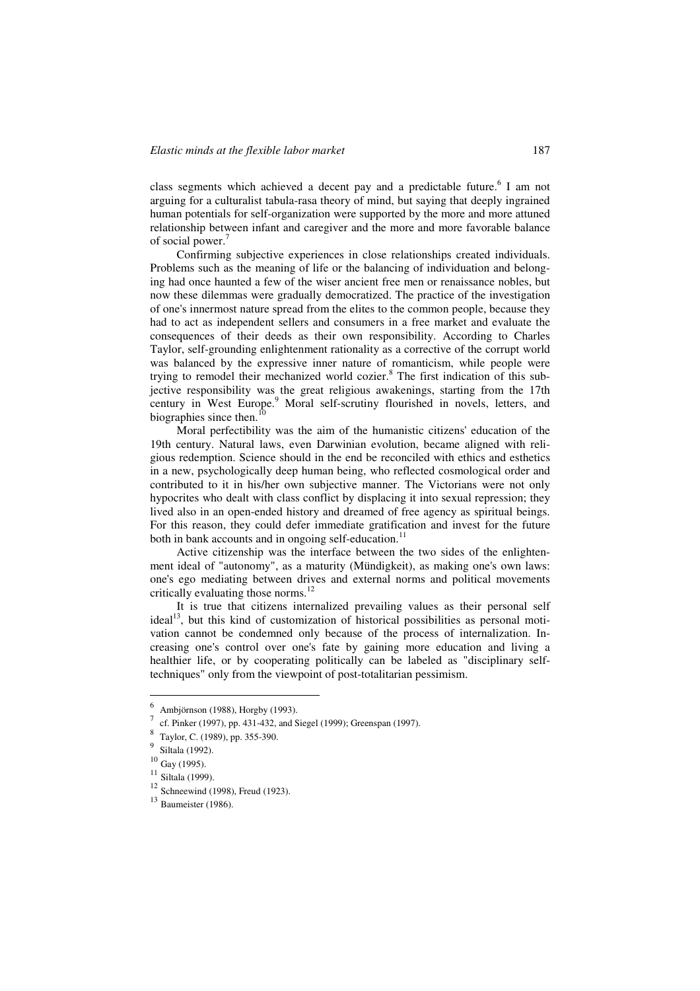class segments which achieved a decent pay and a predictable future.<sup>6</sup> I am not arguing for a culturalist tabula-rasa theory of mind, but saying that deeply ingrained human potentials for self-organization were supported by the more and more attuned relationship between infant and caregiver and the more and more favorable balance of social power.<sup>7</sup>

Confirming subjective experiences in close relationships created individuals. Problems such as the meaning of life or the balancing of individuation and belonging had once haunted a few of the wiser ancient free men or renaissance nobles, but now these dilemmas were gradually democratized. The practice of the investigation of one's innermost nature spread from the elites to the common people, because they had to act as independent sellers and consumers in a free market and evaluate the consequences of their deeds as their own responsibility. According to Charles Taylor, self-grounding enlightenment rationality as a corrective of the corrupt world was balanced by the expressive inner nature of romanticism, while people were trying to remodel their mechanized world cozier.<sup>8</sup> The first indication of this subjective responsibility was the great religious awakenings, starting from the 17th century in West Europe.<sup>9</sup> Moral self-scrutiny flourished in novels, letters, and biographies since then.<sup>1</sup>

Moral perfectibility was the aim of the humanistic citizens' education of the 19th century. Natural laws, even Darwinian evolution, became aligned with religious redemption. Science should in the end be reconciled with ethics and esthetics in a new, psychologically deep human being, who reflected cosmological order and contributed to it in his/her own subjective manner. The Victorians were not only hypocrites who dealt with class conflict by displacing it into sexual repression; they lived also in an open-ended history and dreamed of free agency as spiritual beings. For this reason, they could defer immediate gratification and invest for the future both in bank accounts and in ongoing self-education.<sup>11</sup>

Active citizenship was the interface between the two sides of the enlightenment ideal of "autonomy", as a maturity (Mündigkeit), as making one's own laws: one's ego mediating between drives and external norms and political movements critically evaluating those norms. $^{12}$ 

It is true that citizens internalized prevailing values as their personal self  $\text{ideal}^{13}$ , but this kind of customization of historical possibilities as personal motivation cannot be condemned only because of the process of internalization. Increasing one's control over one's fate by gaining more education and living a healthier life, or by cooperating politically can be labeled as "disciplinary selftechniques" only from the viewpoint of post-totalitarian pessimism.

<sup>6</sup> Ambjörnson (1988), Horgby (1993).

<sup>7</sup> cf. Pinker (1997), pp. 431-432, and Siegel (1999); Greenspan (1997).

<sup>8</sup> Taylor, C. (1989), pp. 355-390.

 $\frac{9}{10}$  Siltala (1992).

 $\frac{10}{11}$  Gay (1995).

 $\frac{11}{12}$  Siltala (1999).<br><sup>12</sup> Schneewind (1998), Freud (1923).

 $13$  Baumeister (1986).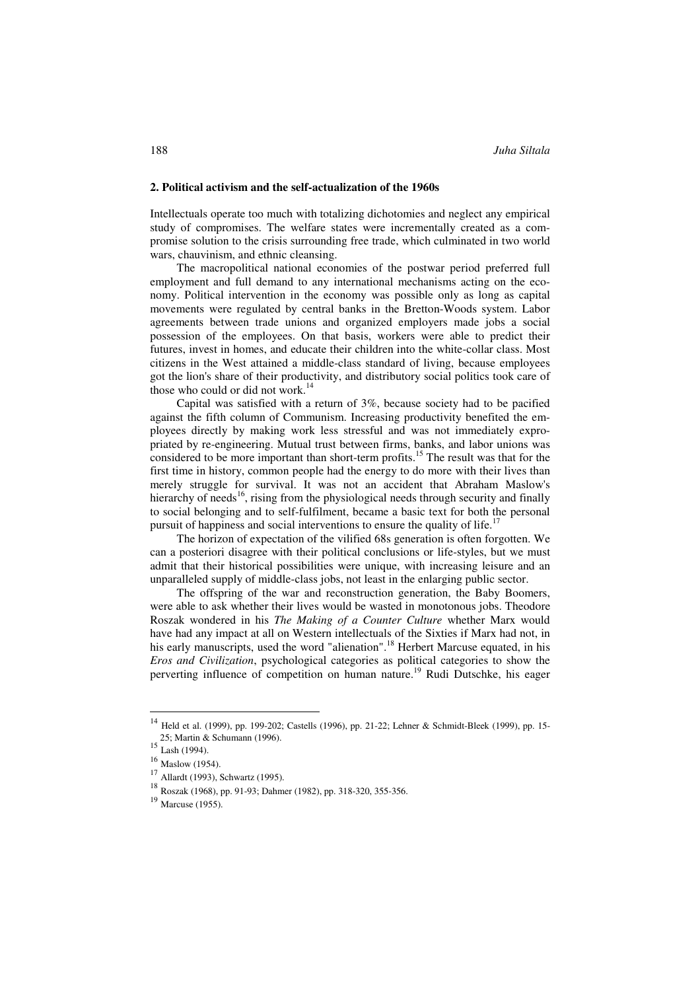#### **2. Political activism and the self-actualization of the 1960s**

Intellectuals operate too much with totalizing dichotomies and neglect any empirical study of compromises. The welfare states were incrementally created as a compromise solution to the crisis surrounding free trade, which culminated in two world wars, chauvinism, and ethnic cleansing.

The macropolitical national economies of the postwar period preferred full employment and full demand to any international mechanisms acting on the economy. Political intervention in the economy was possible only as long as capital movements were regulated by central banks in the Bretton-Woods system. Labor agreements between trade unions and organized employers made jobs a social possession of the employees. On that basis, workers were able to predict their futures, invest in homes, and educate their children into the white-collar class. Most citizens in the West attained a middle-class standard of living, because employees got the lion's share of their productivity, and distributory social politics took care of those who could or did not work.<sup>14</sup>

Capital was satisfied with a return of 3%, because society had to be pacified against the fifth column of Communism. Increasing productivity benefited the employees directly by making work less stressful and was not immediately expropriated by re-engineering. Mutual trust between firms, banks, and labor unions was considered to be more important than short-term profits.<sup>15</sup> The result was that for the first time in history, common people had the energy to do more with their lives than merely struggle for survival. It was not an accident that Abraham Maslow's hierarchy of needs<sup>16</sup>, rising from the physiological needs through security and finally to social belonging and to self-fulfilment, became a basic text for both the personal pursuit of happiness and social interventions to ensure the quality of life.<sup>17</sup>

The horizon of expectation of the vilified 68s generation is often forgotten. We can a posteriori disagree with their political conclusions or life-styles, but we must admit that their historical possibilities were unique, with increasing leisure and an unparalleled supply of middle-class jobs, not least in the enlarging public sector.

The offspring of the war and reconstruction generation, the Baby Boomers, were able to ask whether their lives would be wasted in monotonous jobs. Theodore Roszak wondered in his *The Making of a Counter Culture* whether Marx would have had any impact at all on Western intellectuals of the Sixties if Marx had not, in his early manuscripts, used the word "alienation".<sup>18</sup> Herbert Marcuse equated, in his *Eros and Civilization*, psychological categories as political categories to show the perverting influence of competition on human nature.<sup>19</sup> Rudi Dutschke, his eager

<sup>14</sup> Held et al. (1999), pp. 199-202; Castells (1996), pp. 21-22; Lehner & Schmidt-Bleek (1999), pp. 15- 25; Martin & Schumann (1996).

 $15 \text{Lash} (1994)$ .

 $^{16}$  Maslow (1954).<br><sup>17</sup> Allardt (1993), Schwartz (1995).

Roszak (1968), pp. 91-93; Dahmer (1982), pp. 318-320, 355-356.

<sup>19</sup> Marcuse (1955).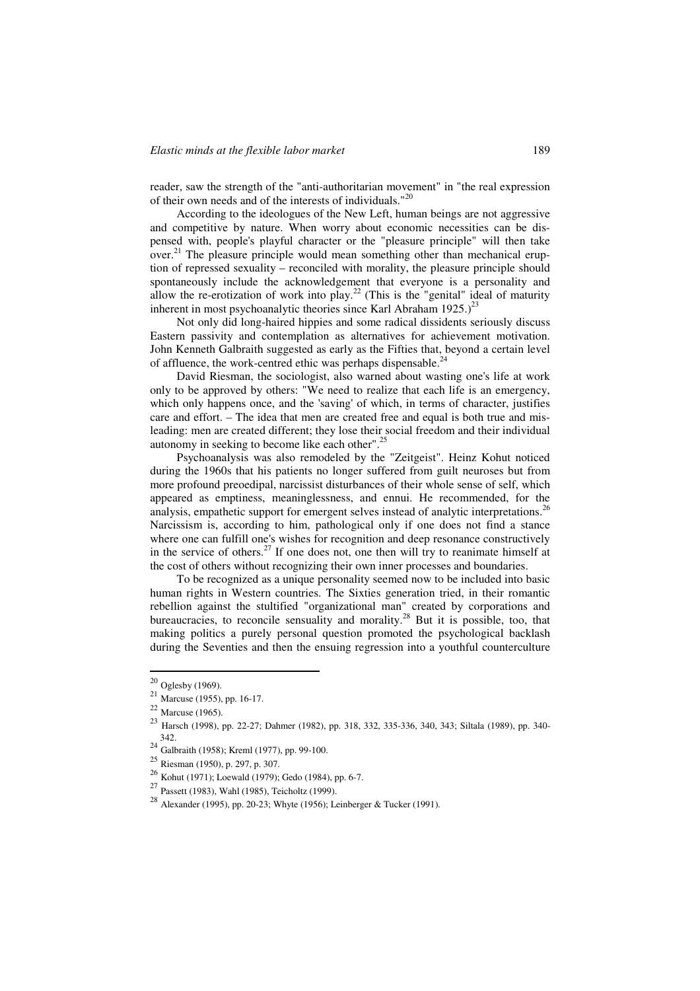reader, saw the strength of the "anti-authoritarian movement" in "the real expression of their own needs and of the interests of individuals."<sup>20</sup>

According to the ideologues of the New Left, human beings are not aggressive and competitive by nature. When worry about economic necessities can be dispensed with, people's playful character or the "pleasure principle" will then take over.<sup>21</sup> The pleasure principle would mean something other than mechanical eruption of repressed sexuality – reconciled with morality, the pleasure principle should spontaneously include the acknowledgement that everyone is a personality and allow the re-erotization of work into play.<sup>22</sup> (This is the "genital" ideal of maturity inherent in most psychoanalytic theories since Karl Abraham  $1925.$ <sup>23</sup>

Not only did long-haired hippies and some radical dissidents seriously discuss Eastern passivity and contemplation as alternatives for achievement motivation. John Kenneth Galbraith suggested as early as the Fifties that, beyond a certain level of affluence, the work-centred ethic was perhaps dispensable.<sup>24</sup>

David Riesman, the sociologist, also warned about wasting one's life at work only to be approved by others: "We need to realize that each life is an emergency, which only happens once, and the 'saving' of which, in terms of character, justifies care and effort. – The idea that men are created free and equal is both true and misleading: men are created different; they lose their social freedom and their individual autonomy in seeking to become like each other".25

Psychoanalysis was also remodeled by the "Zeitgeist". Heinz Kohut noticed during the 1960s that his patients no longer suffered from guilt neuroses but from more profound preoedipal, narcissist disturbances of their whole sense of self, which appeared as emptiness, meaninglessness, and ennui. He recommended, for the analysis, empathetic support for emergent selves instead of analytic interpretations.<sup>26</sup> Narcissism is, according to him, pathological only if one does not find a stance where one can fulfill one's wishes for recognition and deep resonance constructively in the service of others.<sup>27</sup> If one does not, one then will try to reanimate himself at the cost of others without recognizing their own inner processes and boundaries.

To be recognized as a unique personality seemed now to be included into basic human rights in Western countries. The Sixties generation tried, in their romantic rebellion against the stultified "organizational man" created by corporations and bureaucracies, to reconcile sensuality and morality.<sup>28</sup> But it is possible, too, that making politics a purely personal question promoted the psychological backlash during the Seventies and then the ensuing regression into a youthful counterculture

 $20$  Oglesby (1969).

 $21$  Marcuse (1955), pp. 16-17.

<sup>&</sup>lt;sup>22</sup> Marcuse (1965).<br><sup>23</sup> Harsch (1998), pp. 22-27; Dahmer (1982), pp. 318, 332, 335-336, 340, 343; Siltala (1989), pp. 340-342. <sup>24</sup> Galbraith (1958); Kreml (1977), pp. 99-100.

<sup>25</sup> Riesman (1950), p. 297, p. 307.

<sup>&</sup>lt;sup>26</sup> Kohut (1971); Loewald (1979); Gedo (1984), pp. 6-7.<br><sup>27</sup> Passett (1983), Wahl (1985), Teicholtz (1999).

<sup>28</sup> Alexander (1995), pp. 20-23; Whyte (1956); Leinberger & Tucker (1991).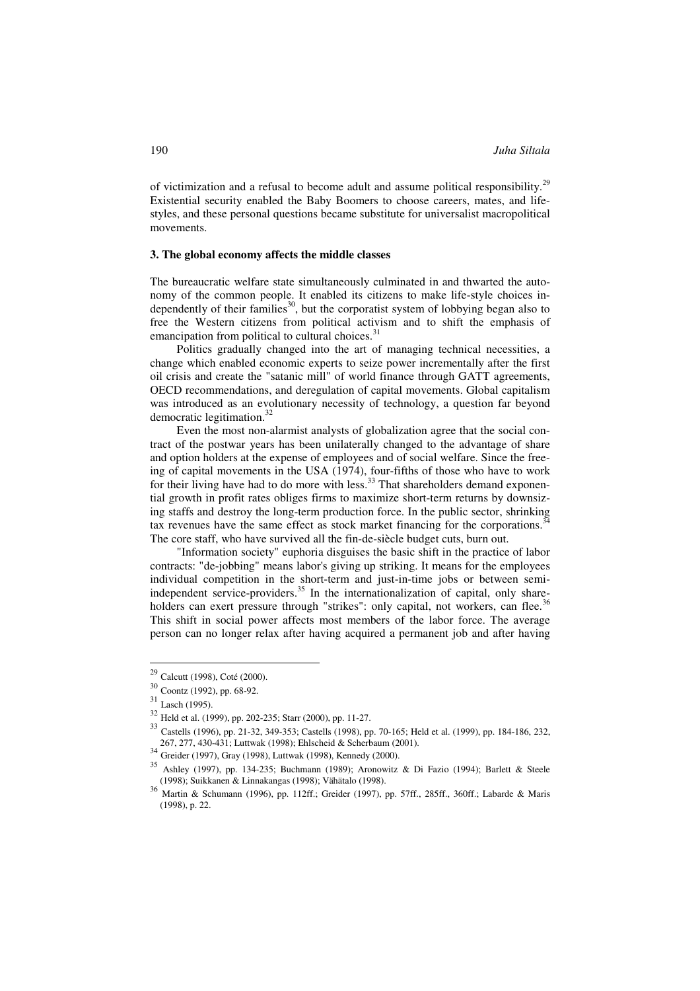of victimization and a refusal to become adult and assume political responsibility.<sup>29</sup> Existential security enabled the Baby Boomers to choose careers, mates, and lifestyles, and these personal questions became substitute for universalist macropolitical movements.

## **3. The global economy affects the middle classes**

The bureaucratic welfare state simultaneously culminated in and thwarted the autonomy of the common people. It enabled its citizens to make life-style choices independently of their families<sup>30</sup>, but the corporatist system of lobbying began also to free the Western citizens from political activism and to shift the emphasis of emancipation from political to cultural choices. $31$ 

Politics gradually changed into the art of managing technical necessities, a change which enabled economic experts to seize power incrementally after the first oil crisis and create the "satanic mill" of world finance through GATT agreements, OECD recommendations, and deregulation of capital movements. Global capitalism was introduced as an evolutionary necessity of technology, a question far beyond democratic legitimation.<sup>32</sup>

Even the most non-alarmist analysts of globalization agree that the social contract of the postwar years has been unilaterally changed to the advantage of share and option holders at the expense of employees and of social welfare. Since the freeing of capital movements in the USA (1974), four-fifths of those who have to work for their living have had to do more with less.<sup>33</sup> That shareholders demand exponential growth in profit rates obliges firms to maximize short-term returns by downsizing staffs and destroy the long-term production force. In the public sector, shrinking tax revenues have the same effect as stock market financing for the corporations.<sup>34</sup> The core staff, who have survived all the fin-de-siècle budget cuts, burn out.

"Information society" euphoria disguises the basic shift in the practice of labor contracts: "de-jobbing" means labor's giving up striking. It means for the employees individual competition in the short-term and just-in-time jobs or between semiindependent service-providers.<sup>35</sup> In the internationalization of capital, only shareholders can exert pressure through "strikes": only capital, not workers, can flee.<sup>36</sup> This shift in social power affects most members of the labor force. The average person can no longer relax after having acquired a permanent job and after having

Calcutt (1998), Coté (2000).

<sup>30</sup> Coontz (1992), pp. 68-92.

<sup>31</sup> Lasch (1995).

<sup>32</sup> Held et al. (1999), pp. 202-235; Starr (2000), pp. 11-27.

<sup>33</sup> Castells (1996), pp. 21-32, 349-353; Castells (1998), pp. 70-165; Held et al. (1999), pp. 184-186, 232,

 $34\frac{207, 277, 188, 129, 2000}{\text{Grieder (1997), Gray (1998), Luttwak (1998), Kennedy (2000)}}$ .

<sup>35</sup> Ashley (1997), pp. 134-235; Buchmann (1989); Aronowitz & Di Fazio (1994); Barlett & Steele (1998); Suikkanen & Linnakangas (1998); Vähätalo (1998).

<sup>36</sup> Martin & Schumann (1996), pp. 112ff.; Greider (1997), pp. 57ff., 285ff., 360ff.; Labarde & Maris (1998), p. 22.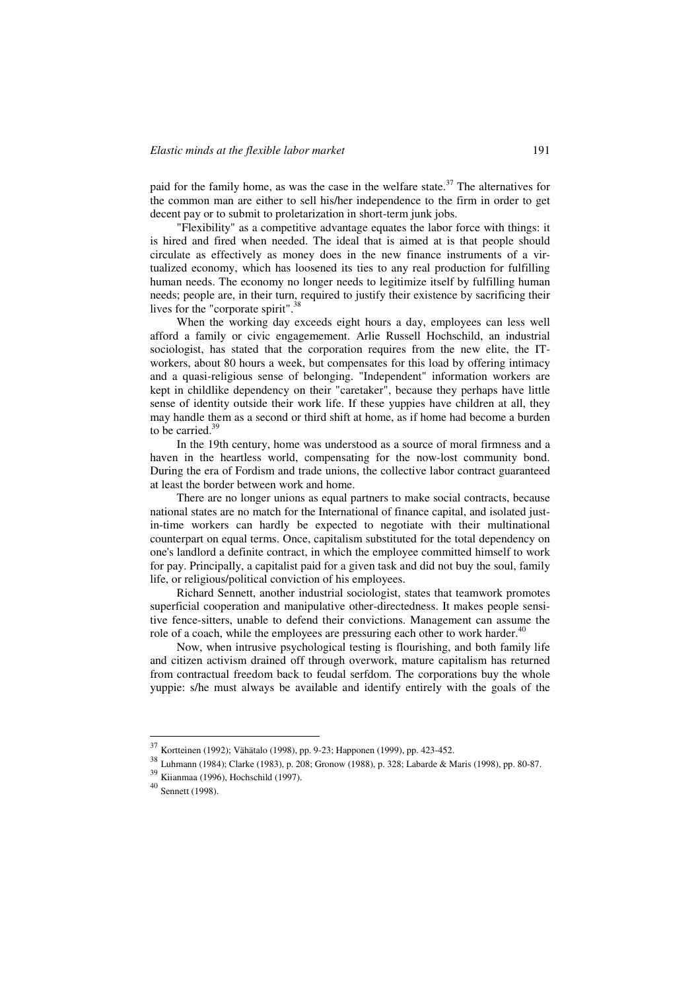paid for the family home, as was the case in the welfare state.<sup>37</sup> The alternatives for the common man are either to sell his/her independence to the firm in order to get decent pay or to submit to proletarization in short-term junk jobs.

"Flexibility" as a competitive advantage equates the labor force with things: it is hired and fired when needed. The ideal that is aimed at is that people should circulate as effectively as money does in the new finance instruments of a virtualized economy, which has loosened its ties to any real production for fulfilling human needs. The economy no longer needs to legitimize itself by fulfilling human needs; people are, in their turn, required to justify their existence by sacrificing their lives for the "corporate spirit".<sup>38</sup>

When the working day exceeds eight hours a day, employees can less well afford a family or civic engagemement. Arlie Russell Hochschild, an industrial sociologist, has stated that the corporation requires from the new elite, the ITworkers, about 80 hours a week, but compensates for this load by offering intimacy and a quasi-religious sense of belonging. "Independent" information workers are kept in childlike dependency on their "caretaker", because they perhaps have little sense of identity outside their work life. If these yuppies have children at all, they may handle them as a second or third shift at home, as if home had become a burden to be carried. $39$ 

In the 19th century, home was understood as a source of moral firmness and a haven in the heartless world, compensating for the now-lost community bond. During the era of Fordism and trade unions, the collective labor contract guaranteed at least the border between work and home.

There are no longer unions as equal partners to make social contracts, because national states are no match for the International of finance capital, and isolated justin-time workers can hardly be expected to negotiate with their multinational counterpart on equal terms. Once, capitalism substituted for the total dependency on one's landlord a definite contract, in which the employee committed himself to work for pay. Principally, a capitalist paid for a given task and did not buy the soul, family life, or religious/political conviction of his employees.

Richard Sennett, another industrial sociologist, states that teamwork promotes superficial cooperation and manipulative other-directedness. It makes people sensitive fence-sitters, unable to defend their convictions. Management can assume the role of a coach, while the employees are pressuring each other to work harder.<sup>40</sup>

Now, when intrusive psychological testing is flourishing, and both family life and citizen activism drained off through overwork, mature capitalism has returned from contractual freedom back to feudal serfdom. The corporations buy the whole yuppie: s/he must always be available and identify entirely with the goals of the

<sup>37</sup> Kortteinen (1992); Vähätalo (1998), pp. 9-23; Happonen (1999), pp. 423-452.

<sup>38</sup> Luhmann (1984); Clarke (1983), p. 208; Gronow (1988), p. 328; Labarde & Maris (1998), pp. 80-87.

 $^{39}$  Kiianmaa (1996), Hochschild (1997).<br> $^{40}$  Sennett (1998).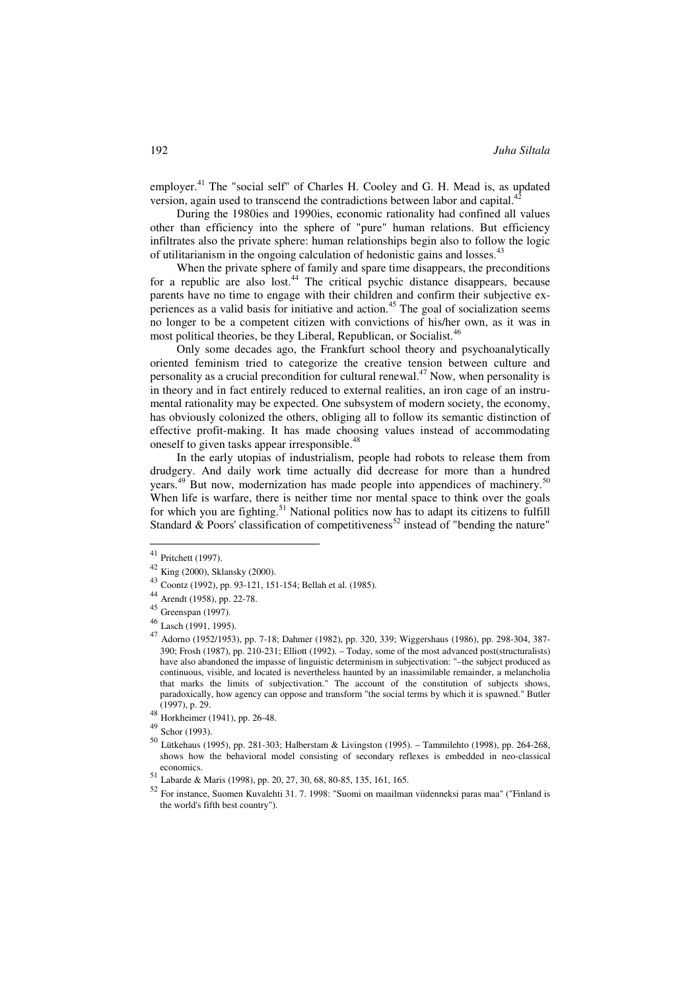employer.<sup>41</sup> The "social self" of Charles H. Cooley and G. H. Mead is, as updated version, again used to transcend the contradictions between labor and capital.<sup>42</sup>

During the 1980ies and 1990ies, economic rationality had confined all values other than efficiency into the sphere of "pure" human relations. But efficiency infiltrates also the private sphere: human relationships begin also to follow the logic of utilitarianism in the ongoing calculation of hedonistic gains and losses.<sup>43</sup>

When the private sphere of family and spare time disappears, the preconditions for a republic are also lost.<sup>44</sup> The critical psychic distance disappears, because parents have no time to engage with their children and confirm their subjective experiences as a valid basis for initiative and action.<sup>45</sup> The goal of socialization seems no longer to be a competent citizen with convictions of his/her own, as it was in most political theories, be they Liberal, Republican, or Socialist.<sup>46</sup>

Only some decades ago, the Frankfurt school theory and psychoanalytically oriented feminism tried to categorize the creative tension between culture and personality as a crucial precondition for cultural renewal.<sup>47</sup> Now, when personality is in theory and in fact entirely reduced to external realities, an iron cage of an instrumental rationality may be expected. One subsystem of modern society, the economy, has obviously colonized the others, obliging all to follow its semantic distinction of effective profit-making. It has made choosing values instead of accommodating oneself to given tasks appear irresponsible.<sup>48</sup>

In the early utopias of industrialism, people had robots to release them from drudgery. And daily work time actually did decrease for more than a hundred years.<sup>49</sup> But now, modernization has made people into appendices of machinery.<sup>50</sup> When life is warfare, there is neither time nor mental space to think over the goals for which you are fighting.<sup>51</sup> National politics now has to adapt its citizens to fulfill Standard  $\&$  Poors' classification of competitiveness<sup>52</sup> instead of "bending the nature"

<sup>41</sup> Pritchett (1997).

<sup>42</sup> King (2000), Sklansky (2000).

<sup>43</sup> Coontz (1992), pp. 93-121, 151-154; Bellah et al. (1985).

<sup>44</sup> Arendt (1958), pp. 22-78.

<sup>45</sup> Greenspan (1997).

<sup>46</sup> Lasch (1991, 1995).

<sup>47</sup> Adorno (1952/1953), pp. 7-18; Dahmer (1982), pp. 320, 339; Wiggershaus (1986), pp. 298-304, 387- 390; Frosh (1987), pp. 210-231; Elliott (1992). – Today, some of the most advanced post(structuralists) have also abandoned the impasse of linguistic determinism in subjectivation: "–the subject produced as continuous, visible, and located is nevertheless haunted by an inassimilable remainder, a melancholia that marks the limits of subjectivation." The account of the constitution of subjects shows, paradoxically, how agency can oppose and transform "the social terms by which it is spawned." Butler (1997), p. 29. <sup>48</sup> Horkheimer (1941), pp. 26-48.

<sup>49</sup> Schor (1993).

<sup>50</sup> Lütkehaus (1995), pp. 281-303; Halberstam & Livingston (1995). – Tammilehto (1998), pp. 264-268, shows how the behavioral model consisting of secondary reflexes is embedded in neo-classical economics.

<sup>51</sup> Labarde & Maris (1998), pp. 20, 27, 30, 68, 80-85, 135, 161, 165.

<sup>52</sup> For instance, Suomen Kuvalehti 31. 7. 1998: "Suomi on maailman viidenneksi paras maa" ("Finland is the world's fifth best country").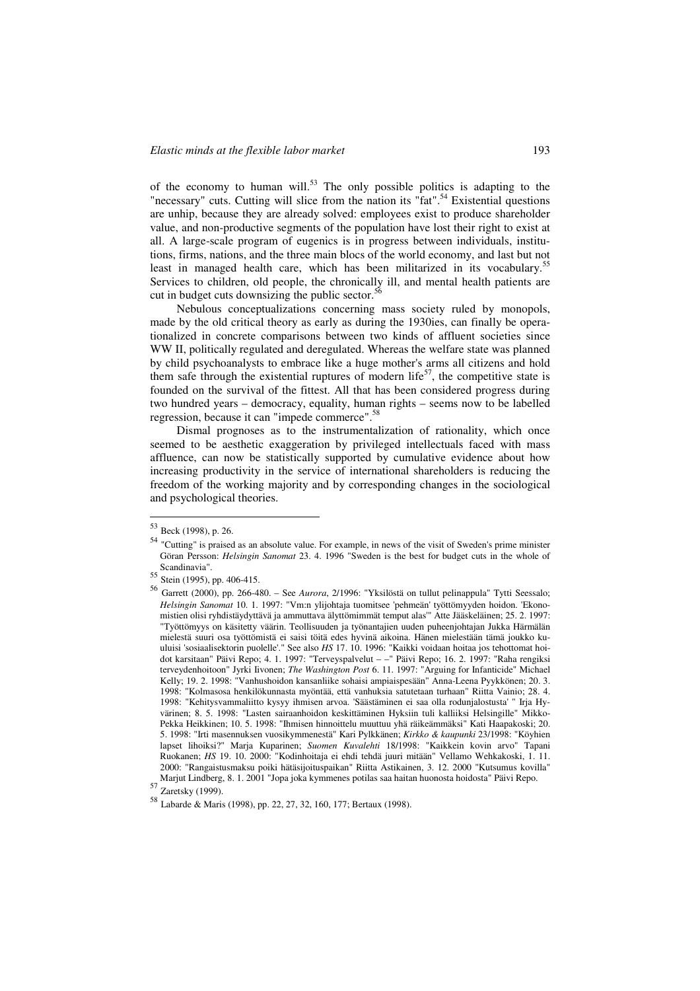of the economy to human will.<sup>53</sup> The only possible politics is adapting to the "necessary" cuts. Cutting will slice from the nation its "fat".<sup>54</sup> Existential questions are unhip, because they are already solved: employees exist to produce shareholder value, and non-productive segments of the population have lost their right to exist at all. A large-scale program of eugenics is in progress between individuals, institutions, firms, nations, and the three main blocs of the world economy, and last but not least in managed health care, which has been militarized in its vocabulary.<sup>55</sup> Services to children, old people, the chronically ill, and mental health patients are cut in budget cuts downsizing the public sector.<sup>56</sup>

Nebulous conceptualizations concerning mass society ruled by monopols, made by the old critical theory as early as during the 1930ies, can finally be operationalized in concrete comparisons between two kinds of affluent societies since WW II, politically regulated and deregulated. Whereas the welfare state was planned by child psychoanalysts to embrace like a huge mother's arms all citizens and hold them safe through the existential ruptures of modern life<sup>57</sup>, the competitive state is founded on the survival of the fittest. All that has been considered progress during two hundred years – democracy, equality, human rights – seems now to be labelled regression, because it can "impede commerce".<sup>58</sup>

Dismal prognoses as to the instrumentalization of rationality, which once seemed to be aesthetic exaggeration by privileged intellectuals faced with mass affluence, can now be statistically supported by cumulative evidence about how increasing productivity in the service of international shareholders is reducing the freedom of the working majority and by corresponding changes in the sociological and psychological theories.

<sup>53</sup> Beck (1998), p. 26.

<sup>54</sup> "Cutting" is praised as an absolute value. For example, in news of the visit of Sweden's prime minister Göran Persson: *Helsingin Sanomat* 23. 4. 1996 "Sweden is the best for budget cuts in the whole of Scandinavia".

<sup>55</sup> Stein (1995), pp. 406-415.

<sup>56</sup> Garrett (2000), pp. 266-480. – See *Aurora*, 2/1996: "Yksilöstä on tullut pelinappula" Tytti Seessalo; *Helsingin Sanomat* 10. 1. 1997: "Vm:n ylijohtaja tuomitsee 'pehmeän' työttömyyden hoidon. 'Ekonomistien olisi ryhdistäydyttävä ja ammuttava älyttömimmät temput alas'" Atte Jääskeläinen; 25. 2. 1997: "Työttömyys on käsitetty väärin. Teollisuuden ja työnantajien uuden puheenjohtajan Jukka Härmälän mielestä suuri osa työttömistä ei saisi töitä edes hyvinä aikoina. Hänen mielestään tämä joukko kuuluisi 'sosiaalisektorin puolelle'." See also *HS* 17. 10. 1996: "Kaikki voidaan hoitaa jos tehottomat hoidot karsitaan" Päivi Repo; 4. 1. 1997: "Terveyspalvelut – –" Päivi Repo; 16. 2. 1997: "Raha rengiksi terveydenhoitoon" Jyrki Iivonen; *The Washington Post* 6. 11. 1997: "Arguing for Infanticide" Michael Kelly; 19. 2. 1998: "Vanhushoidon kansanliike sohaisi ampiaispesään" Anna-Leena Pyykkönen; 20. 3. 1998: "Kolmasosa henkilökunnasta myöntää, että vanhuksia satutetaan turhaan" Riitta Vainio; 28. 4. 1998: "Kehitysvammaliitto kysyy ihmisen arvoa. 'Säästäminen ei saa olla rodunjalostusta' " Irja Hyvärinen; 8. 5. 1998: "Lasten sairaanhoidon keskittäminen Hyksiin tuli kalliiksi Helsingille" Mikko-Pekka Heikkinen; 10. 5. 1998: "Ihmisen hinnoittelu muuttuu yhä räikeämmäksi" Kati Haapakoski; 20. 5. 1998: "Irti masennuksen vuosikymmenestä" Kari Pylkkänen; *Kirkko & kaupunki* 23/1998: "Köyhien lapset lihoiksi?" Marja Kuparinen; *Suomen Kuvalehti* 18/1998: "Kaikkein kovin arvo" Tapani Ruokanen; *HS* 19. 10. 2000: "Kodinhoitaja ei ehdi tehdä juuri mitään" Vellamo Wehkakoski, 1. 11. 2000: "Rangaistusmaksu poiki hätäsijoituspaikan" Riitta Astikainen, 3. 12. 2000 "Kutsumus kovilla" Marjut Lindberg, 8. 1. 2001 "Jopa joka kymmenes potilas saa haitan huonosta hoidosta" Päivi Repo.  $57 \frac{\text{Nau}}{\text{Zaretsky}} (1999)$ .

<sup>58</sup> Labarde & Maris (1998), pp. 22, 27, 32, 160, 177; Bertaux (1998).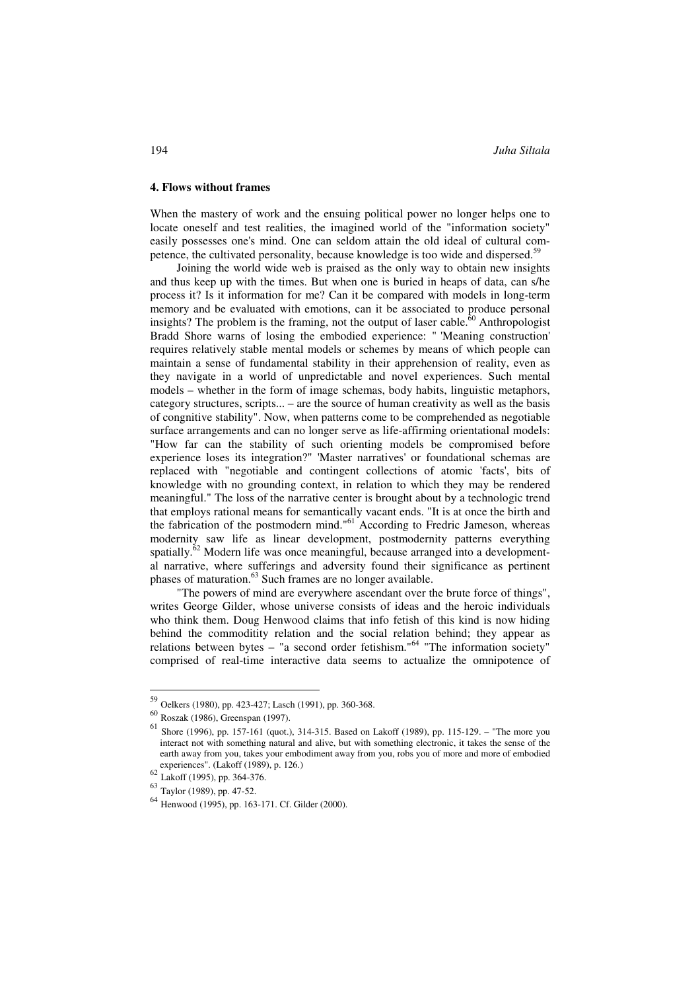#### **4. Flows without frames**

When the mastery of work and the ensuing political power no longer helps one to locate oneself and test realities, the imagined world of the "information society" easily possesses one's mind. One can seldom attain the old ideal of cultural competence, the cultivated personality, because knowledge is too wide and dispersed.<sup>59</sup>

Joining the world wide web is praised as the only way to obtain new insights and thus keep up with the times. But when one is buried in heaps of data, can s/he process it? Is it information for me? Can it be compared with models in long-term memory and be evaluated with emotions, can it be associated to produce personal insights? The problem is the framing, not the output of laser cable. $60$  Anthropologist Bradd Shore warns of losing the embodied experience: " 'Meaning construction' requires relatively stable mental models or schemes by means of which people can maintain a sense of fundamental stability in their apprehension of reality, even as they navigate in a world of unpredictable and novel experiences. Such mental models – whether in the form of image schemas, body habits, linguistic metaphors, category structures, scripts... – are the source of human creativity as well as the basis of congnitive stability". Now, when patterns come to be comprehended as negotiable surface arrangements and can no longer serve as life-affirming orientational models: "How far can the stability of such orienting models be compromised before experience loses its integration?" 'Master narratives' or foundational schemas are replaced with "negotiable and contingent collections of atomic 'facts', bits of knowledge with no grounding context, in relation to which they may be rendered meaningful." The loss of the narrative center is brought about by a technologic trend that employs rational means for semantically vacant ends. "It is at once the birth and the fabrication of the postmodern mind."<sup>61</sup> According to Fredric Jameson, whereas modernity saw life as linear development, postmodernity patterns everything spatially. $62$  Modern life was once meaningful, because arranged into a developmental narrative, where sufferings and adversity found their significance as pertinent phases of maturation.<sup>63</sup> Such frames are no longer available.

"The powers of mind are everywhere ascendant over the brute force of things", writes George Gilder, whose universe consists of ideas and the heroic individuals who think them. Doug Henwood claims that info fetish of this kind is now hiding behind the commoditity relation and the social relation behind; they appear as relations between bytes – "a second order fetishism."<sup>64</sup> "The information society" comprised of real-time interactive data seems to actualize the omnipotence of

<sup>59</sup> Oelkers (1980), pp. 423-427; Lasch (1991), pp. 360-368.

<sup>60</sup> Roszak (1986), Greenspan (1997).

 $61$  Shore (1996), pp. 157-161 (quot.), 314-315. Based on Lakoff (1989), pp. 115-129. – "The more you interact not with something natural and alive, but with something electronic, it takes the sense of the earth away from you, takes your embodiment away from you, robs you of more and more of embodied experiences". (Lakoff (1989), p. 126.)

<sup>62</sup> Lakoff (1995), pp. 364-376.

<sup>63</sup> Taylor (1989), pp. 47-52.

<sup>64</sup> Henwood (1995), pp. 163-171. Cf. Gilder (2000).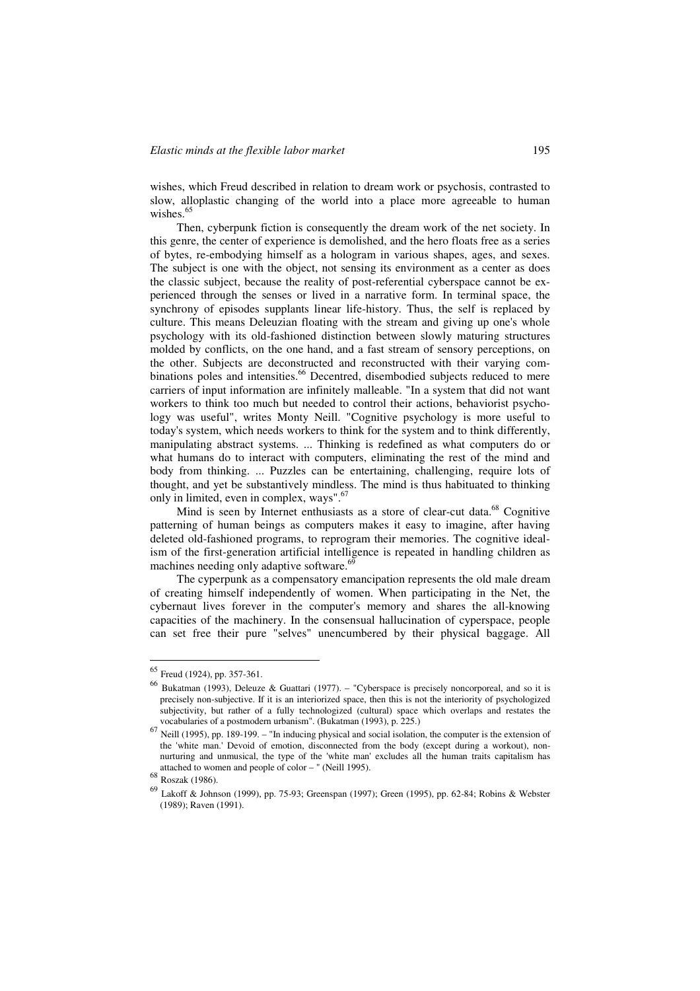wishes, which Freud described in relation to dream work or psychosis, contrasted to slow, alloplastic changing of the world into a place more agreeable to human wishes $65$ 

Then, cyberpunk fiction is consequently the dream work of the net society. In this genre, the center of experience is demolished, and the hero floats free as a series of bytes, re-embodying himself as a hologram in various shapes, ages, and sexes. The subject is one with the object, not sensing its environment as a center as does the classic subject, because the reality of post-referential cyberspace cannot be experienced through the senses or lived in a narrative form. In terminal space, the synchrony of episodes supplants linear life-history. Thus, the self is replaced by culture. This means Deleuzian floating with the stream and giving up one's whole psychology with its old-fashioned distinction between slowly maturing structures molded by conflicts, on the one hand, and a fast stream of sensory perceptions, on the other. Subjects are deconstructed and reconstructed with their varying combinations poles and intensities.<sup>66</sup> Decentred, disembodied subjects reduced to mere carriers of input information are infinitely malleable. "In a system that did not want workers to think too much but needed to control their actions, behaviorist psychology was useful", writes Monty Neill. "Cognitive psychology is more useful to today's system, which needs workers to think for the system and to think differently, manipulating abstract systems. ... Thinking is redefined as what computers do or what humans do to interact with computers, eliminating the rest of the mind and body from thinking. ... Puzzles can be entertaining, challenging, require lots of thought, and yet be substantively mindless. The mind is thus habituated to thinking only in limited, even in complex, ways".67

Mind is seen by Internet enthusiasts as a store of clear-cut data.<sup>68</sup> Cognitive patterning of human beings as computers makes it easy to imagine, after having deleted old-fashioned programs, to reprogram their memories. The cognitive idealism of the first-generation artificial intelligence is repeated in handling children as machines needing only adaptive software.<sup>69</sup>

The cyperpunk as a compensatory emancipation represents the old male dream of creating himself independently of women. When participating in the Net, the cybernaut lives forever in the computer's memory and shares the all-knowing capacities of the machinery. In the consensual hallucination of cyperspace, people can set free their pure "selves" unencumbered by their physical baggage. All

<sup>65</sup> Freud (1924), pp. 357-361.

<sup>66</sup> Bukatman (1993), Deleuze & Guattari (1977). – "Cyberspace is precisely noncorporeal, and so it is precisely non-subjective. If it is an interiorized space, then this is not the interiority of psychologized subjectivity, but rather of a fully technologized (cultural) space which overlaps and restates the vocabularies of a postmodern urbanism". (Bukatman (1993), p. 225.)

<sup>67</sup> Neill (1995), pp. 189-199. – "In inducing physical and social isolation, the computer is the extension of the 'white man.' Devoid of emotion, disconnected from the body (except during a workout), nonnurturing and unmusical, the type of the 'white man' excludes all the human traits capitalism has attached to women and people of color – " (Neill 1995).

 $68$  Roszak (1986).

<sup>69</sup> Lakoff & Johnson (1999), pp. 75-93; Greenspan (1997); Green (1995), pp. 62-84; Robins & Webster (1989); Raven (1991).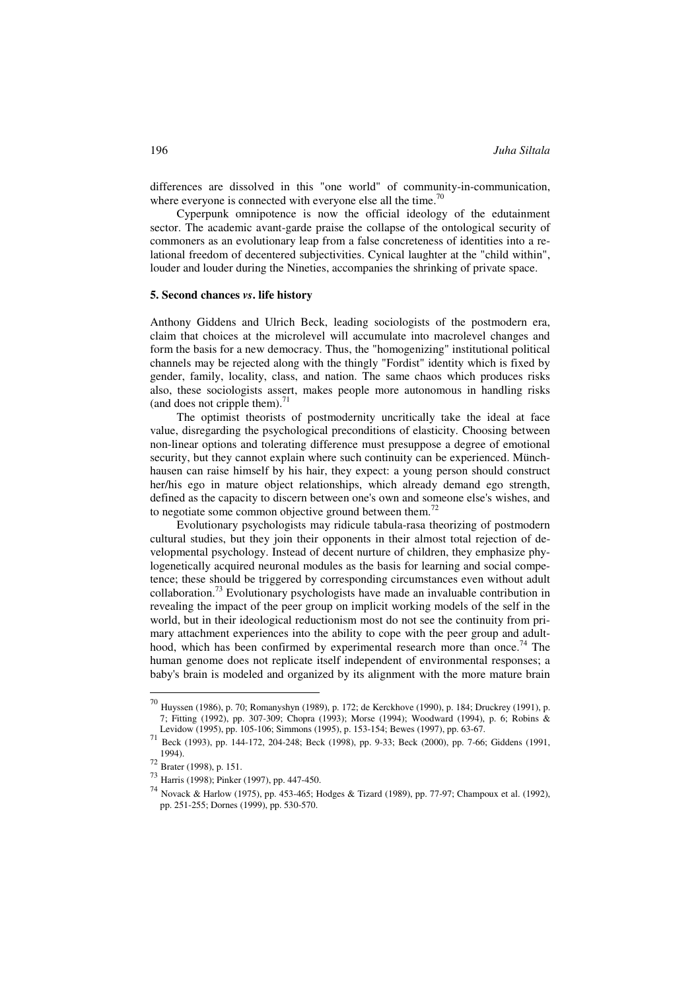differences are dissolved in this "one world" of community-in-communication, where everyone is connected with everyone else all the time.<sup>70</sup>

Cyperpunk omnipotence is now the official ideology of the edutainment sector. The academic avant-garde praise the collapse of the ontological security of commoners as an evolutionary leap from a false concreteness of identities into a relational freedom of decentered subjectivities. Cynical laughter at the "child within", louder and louder during the Nineties, accompanies the shrinking of private space.

## **5. Second chances** *vs***. life history**

Anthony Giddens and Ulrich Beck, leading sociologists of the postmodern era, claim that choices at the microlevel will accumulate into macrolevel changes and form the basis for a new democracy. Thus, the "homogenizing" institutional political channels may be rejected along with the thingly "Fordist" identity which is fixed by gender, family, locality, class, and nation. The same chaos which produces risks also, these sociologists assert, makes people more autonomous in handling risks (and does not cripple them). $71$ 

The optimist theorists of postmodernity uncritically take the ideal at face value, disregarding the psychological preconditions of elasticity. Choosing between non-linear options and tolerating difference must presuppose a degree of emotional security, but they cannot explain where such continuity can be experienced. Münchhausen can raise himself by his hair, they expect: a young person should construct her/his ego in mature object relationships, which already demand ego strength, defined as the capacity to discern between one's own and someone else's wishes, and to negotiate some common objective ground between them.<sup>72</sup>

Evolutionary psychologists may ridicule tabula-rasa theorizing of postmodern cultural studies, but they join their opponents in their almost total rejection of developmental psychology. Instead of decent nurture of children, they emphasize phylogenetically acquired neuronal modules as the basis for learning and social competence; these should be triggered by corresponding circumstances even without adult collaboration.<sup>73</sup> Evolutionary psychologists have made an invaluable contribution in revealing the impact of the peer group on implicit working models of the self in the world, but in their ideological reductionism most do not see the continuity from primary attachment experiences into the ability to cope with the peer group and adulthood, which has been confirmed by experimental research more than once.<sup>74</sup> The human genome does not replicate itself independent of environmental responses; a baby's brain is modeled and organized by its alignment with the more mature brain

<sup>70</sup> Huyssen (1986), p. 70; Romanyshyn (1989), p. 172; de Kerckhove (1990), p. 184; Druckrey (1991), p. 7; Fitting (1992), pp. 307-309; Chopra (1993); Morse (1994); Woodward (1994), p. 6; Robins &

 $\frac{71}{71}$  Beck (1993), pp. 144-172, 204-248; Beck (1998), pp. 9-33; Beck (2000), pp. 7-66; Giddens (1991, 1994). <sup>72</sup> Brater (1998), p. 151.

<sup>73</sup> Harris (1998); Pinker (1997), pp. 447-450.

<sup>74</sup> Novack & Harlow (1975), pp. 453-465; Hodges & Tizard (1989), pp. 77-97; Champoux et al. (1992), pp. 251-255; Dornes (1999), pp. 530-570.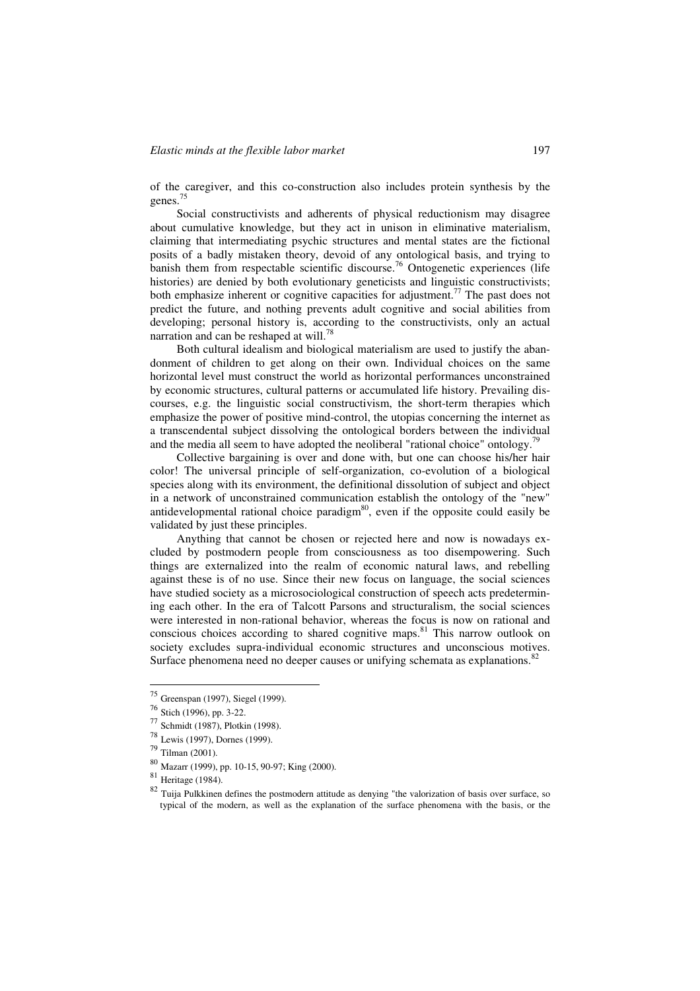of the caregiver, and this co-construction also includes protein synthesis by the genes.<sup>75</sup>

Social constructivists and adherents of physical reductionism may disagree about cumulative knowledge, but they act in unison in eliminative materialism, claiming that intermediating psychic structures and mental states are the fictional posits of a badly mistaken theory, devoid of any ontological basis, and trying to banish them from respectable scientific discourse.<sup>76</sup> Ontogenetic experiences (life histories) are denied by both evolutionary geneticists and linguistic constructivists; both emphasize inherent or cognitive capacities for adjustment.<sup>77</sup> The past does not predict the future, and nothing prevents adult cognitive and social abilities from developing; personal history is, according to the constructivists, only an actual narration and can be reshaped at will.<sup>78</sup>

Both cultural idealism and biological materialism are used to justify the abandonment of children to get along on their own. Individual choices on the same horizontal level must construct the world as horizontal performances unconstrained by economic structures, cultural patterns or accumulated life history. Prevailing discourses, e.g. the linguistic social constructivism, the short-term therapies which emphasize the power of positive mind-control, the utopias concerning the internet as a transcendental subject dissolving the ontological borders between the individual and the media all seem to have adopted the neoliberal "rational choice" ontology.<sup>79</sup>

Collective bargaining is over and done with, but one can choose his/her hair color! The universal principle of self-organization, co-evolution of a biological species along with its environment, the definitional dissolution of subject and object in a network of unconstrained communication establish the ontology of the "new" antidevelopmental rational choice paradigm $80$ , even if the opposite could easily be validated by just these principles.

Anything that cannot be chosen or rejected here and now is nowadays excluded by postmodern people from consciousness as too disempowering. Such things are externalized into the realm of economic natural laws, and rebelling against these is of no use. Since their new focus on language, the social sciences have studied society as a microsociological construction of speech acts predetermining each other. In the era of Talcott Parsons and structuralism, the social sciences were interested in non-rational behavior, whereas the focus is now on rational and conscious choices according to shared cognitive maps.<sup>81</sup> This narrow outlook on society excludes supra-individual economic structures and unconscious motives. Surface phenomena need no deeper causes or unifying schemata as explanations.<sup>82</sup>

 $^{75}$  Greenspan (1997), Siegel (1999).<br> $^{76}$  Stich (1996), pp. 3-22.

 $77$  Schmidt (1987), Plotkin (1998).

<sup>78</sup> Lewis (1997), Dornes (1999).

<sup>79</sup> Tilman (2001).

<sup>80</sup> Mazarr (1999), pp. 10-15, 90-97; King (2000).

<sup>81</sup> Heritage (1984).

<sup>82</sup> Tuija Pulkkinen defines the postmodern attitude as denying "the valorization of basis over surface, so typical of the modern, as well as the explanation of the surface phenomena with the basis, or the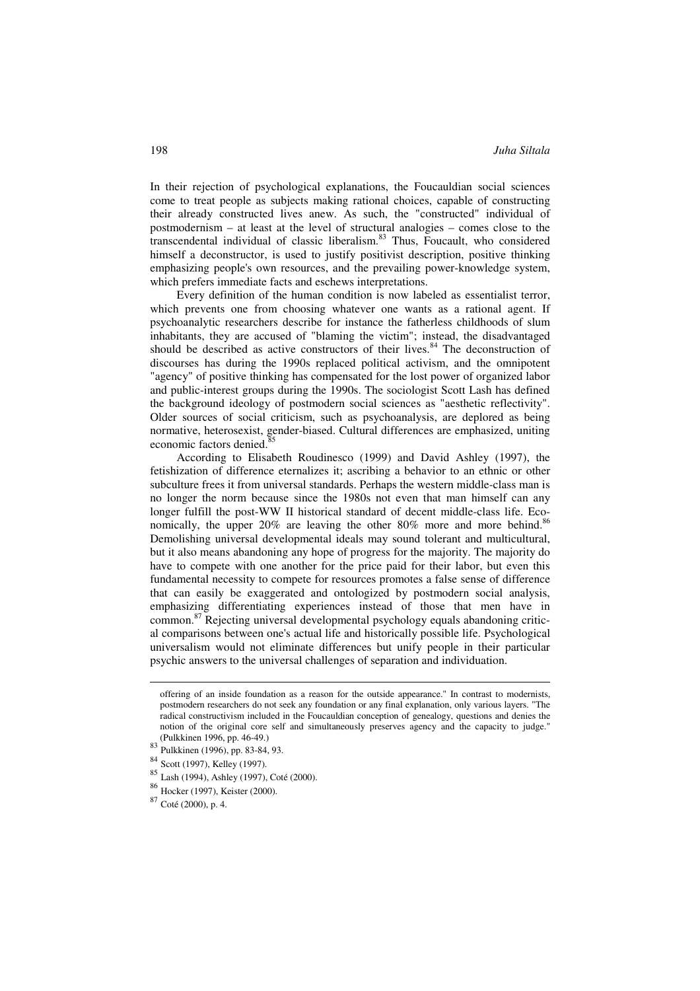In their rejection of psychological explanations, the Foucauldian social sciences come to treat people as subjects making rational choices, capable of constructing their already constructed lives anew. As such, the "constructed" individual of postmodernism – at least at the level of structural analogies – comes close to the  $\frac{1}{1}$  transcendental individual of classic liberalism.<sup>83</sup> Thus, Foucault, who considered himself a deconstructor, is used to justify positivist description, positive thinking emphasizing people's own resources, and the prevailing power-knowledge system, which prefers immediate facts and eschews interpretations.

Every definition of the human condition is now labeled as essentialist terror, which prevents one from choosing whatever one wants as a rational agent. If psychoanalytic researchers describe for instance the fatherless childhoods of slum inhabitants, they are accused of "blaming the victim"; instead, the disadvantaged should be described as active constructors of their lives. $84$  The deconstruction of discourses has during the 1990s replaced political activism, and the omnipotent "agency" of positive thinking has compensated for the lost power of organized labor and public-interest groups during the 1990s. The sociologist Scott Lash has defined the background ideology of postmodern social sciences as "aesthetic reflectivity". Older sources of social criticism, such as psychoanalysis, are deplored as being normative, heterosexist, gender-biased. Cultural differences are emphasized, uniting economic factors denied.<sup>85</sup>

According to Elisabeth Roudinesco (1999) and David Ashley (1997), the fetishization of difference eternalizes it; ascribing a behavior to an ethnic or other subculture frees it from universal standards. Perhaps the western middle-class man is no longer the norm because since the 1980s not even that man himself can any longer fulfill the post-WW II historical standard of decent middle-class life. Economically, the upper 20% are leaving the other 80% more and more behind.<sup>86</sup> Demolishing universal developmental ideals may sound tolerant and multicultural, but it also means abandoning any hope of progress for the majority. The majority do have to compete with one another for the price paid for their labor, but even this fundamental necessity to compete for resources promotes a false sense of difference that can easily be exaggerated and ontologized by postmodern social analysis, emphasizing differentiating experiences instead of those that men have in common.<sup>87</sup> Rejecting universal developmental psychology equals abandoning critical comparisons between one's actual life and historically possible life. Psychological universalism would not eliminate differences but unify people in their particular psychic answers to the universal challenges of separation and individuation.

offering of an inside foundation as a reason for the outside appearance." In contrast to modernists, postmodern researchers do not seek any foundation or any final explanation, only various layers. "The radical constructivism included in the Foucauldian conception of genealogy, questions and denies the notion of the original core self and simultaneously preserves agency and the capacity to judge."<br>(Pulkkinen 1996, pp. 46-49.)

<sup>(</sup>Pulkkinen 1996, pp. 46-49.) <sup>83</sup> Pulkkinen (1996), pp. 83-84, 93.

<sup>84</sup> Scott (1997), Kelley (1997).

<sup>85</sup> Lash (1994), Ashley (1997), Coté (2000).

<sup>86</sup> Hocker (1997), Keister (2000).

<sup>87</sup> Coté (2000), p. 4.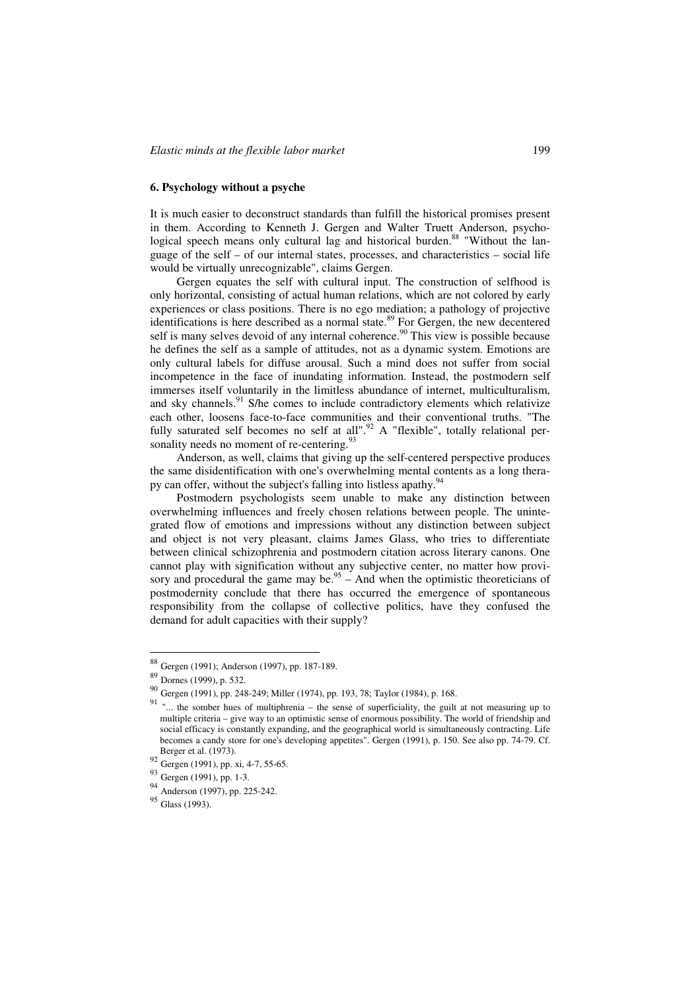## **6. Psychology without a psyche**

It is much easier to deconstruct standards than fulfill the historical promises present in them. According to Kenneth J. Gergen and Walter Truett Anderson, psychological speech means only cultural lag and historical burden.<sup>88</sup> "Without the language of the self – of our internal states, processes, and characteristics – social life would be virtually unrecognizable", claims Gergen.

Gergen equates the self with cultural input. The construction of selfhood is only horizontal, consisting of actual human relations, which are not colored by early experiences or class positions. There is no ego mediation; a pathology of projective identifications is here described as a normal state.<sup>89</sup> For Gergen, the new decentered self is many selves devoid of any internal coherence.<sup>90</sup> This view is possible because he defines the self as a sample of attitudes, not as a dynamic system. Emotions are only cultural labels for diffuse arousal. Such a mind does not suffer from social incompetence in the face of inundating information. Instead, the postmodern self immerses itself voluntarily in the limitless abundance of internet, multiculturalism, and sky channels. $91$  S/he comes to include contradictory elements which relativize each other, loosens face-to-face communities and their conventional truths. "The fully saturated self becomes no self at all".<sup>92</sup> A "flexible", totally relational personality needs no moment of re-centering.<sup>93</sup>

Anderson, as well, claims that giving up the self-centered perspective produces the same disidentification with one's overwhelming mental contents as a long therapy can offer, without the subject's falling into listless apathy.<sup>94</sup>

Postmodern psychologists seem unable to make any distinction between overwhelming influences and freely chosen relations between people. The unintegrated flow of emotions and impressions without any distinction between subject and object is not very pleasant, claims James Glass, who tries to differentiate between clinical schizophrenia and postmodern citation across literary canons. One cannot play with signification without any subjective center, no matter how provisory and procedural the game may be.<sup>95</sup> – And when the optimistic theoreticians of postmodernity conclude that there has occurred the emergence of spontaneous responsibility from the collapse of collective politics, have they confused the demand for adult capacities with their supply?

<sup>88</sup> Gergen (1991); Anderson (1997), pp. 187-189.

<sup>89</sup> Dornes (1999), p. 532.

<sup>90</sup> Gergen (1991), pp. 248-249; Miller (1974), pp. 193, 78; Taylor (1984), p. 168.

<sup>&</sup>lt;sup>91</sup> "... the somber hues of multiphrenia – the sense of superficiality, the guilt at not measuring up to multiple criteria – give way to an optimistic sense of enormous possibility. The world of friendship and social efficacy is constantly expanding, and the geographical world is simultaneously contracting. Life becomes a candy store for one's developing appetites". Gergen (1991), p. 150. See also pp. 74-79. Cf. Berger et al. (1973).

<sup>92</sup> Gergen (1991), pp. xi, 4-7, 55-65.

<sup>93</sup> Gergen (1991), pp. 1-3.

<sup>94</sup> Anderson (1997), pp. 225-242.

<sup>95</sup> Glass (1993).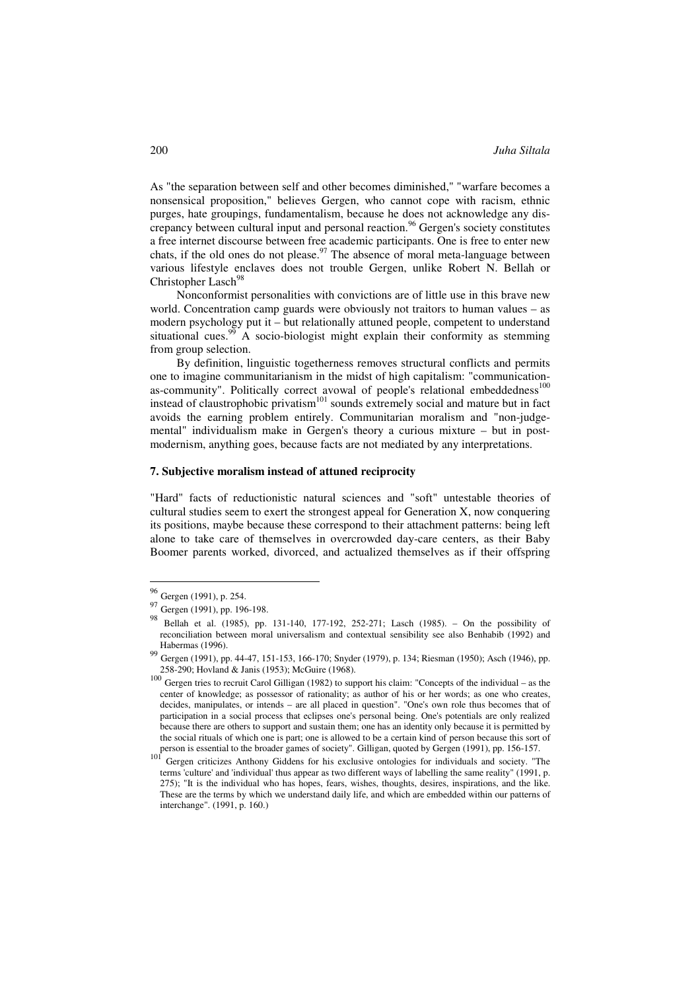As "the separation between self and other becomes diminished," "warfare becomes a nonsensical proposition," believes Gergen, who cannot cope with racism, ethnic purges, hate groupings, fundamentalism, because he does not acknowledge any discrepancy between cultural input and personal reaction.<sup>96</sup> Gergen's society constitutes a free internet discourse between free academic participants. One is free to enter new chats, if the old ones do not please.  $97$  The absence of moral meta-language between various lifestyle enclaves does not trouble Gergen, unlike Robert N. Bellah or Christopher Lasch<sup>98</sup>

Nonconformist personalities with convictions are of little use in this brave new world. Concentration camp guards were obviously not traitors to human values – as modern psychology put it – but relationally attuned people, competent to understand situational cues.<sup>99</sup> A socio-biologist might explain their conformity as stemming from group selection.

By definition, linguistic togetherness removes structural conflicts and permits one to imagine communitarianism in the midst of high capitalism: "communicationas-community". Politically correct avowal of people's relational embeddedness<sup>100</sup> instead of claustrophobic privatism<sup>101</sup> sounds extremely social and mature but in fact avoids the earning problem entirely. Communitarian moralism and "non-judgemental" individualism make in Gergen's theory a curious mixture – but in postmodernism, anything goes, because facts are not mediated by any interpretations.

## **7. Subjective moralism instead of attuned reciprocity**

"Hard" facts of reductionistic natural sciences and "soft" untestable theories of cultural studies seem to exert the strongest appeal for Generation X, now conquering its positions, maybe because these correspond to their attachment patterns: being left alone to take care of themselves in overcrowded day-care centers, as their Baby Boomer parents worked, divorced, and actualized themselves as if their offspring

<sup>96</sup> Gergen (1991), p. 254.

<sup>97</sup> Gergen (1991), pp. 196-198.

<sup>98</sup> Bellah et al. (1985), pp. 131-140, 177-192, 252-271; Lasch (1985). – On the possibility of reconciliation between moral universalism and contextual sensibility see also Benhabib (1992) and Habermas (1996).

<sup>99</sup> Gergen (1991), pp. 44-47, 151-153, 166-170; Snyder (1979), p. 134; Riesman (1950); Asch (1946), pp. 258-290; Hovland & Janis (1953); McGuire (1968).

 $100$  Gergen tries to recruit Carol Gilligan (1982) to support his claim: "Concepts of the individual – as the center of knowledge; as possessor of rationality; as author of his or her words; as one who creates, decides, manipulates, or intends – are all placed in question". "One's own role thus becomes that of participation in a social process that eclipses one's personal being. One's potentials are only realized because there are others to support and sustain them; one has an identity only because it is permitted by the social rituals of which one is part; one is allowed to be a certain kind of person because this sort of person is essential to the broader games of society". Gilligan, quoted by Gergen (1991), pp. 156-157.

person is essential to the broader games of society". Gilligan, quoted by Gergen (1991), pp. 156-157. <sup>101</sup> Gergen criticizes Anthony Giddens for his exclusive ontologies for individuals and society. "The terms 'culture' and 'individual' thus appear as two different ways of labelling the same reality" (1991, p. 275); "It is the individual who has hopes, fears, wishes, thoughts, desires, inspirations, and the like. These are the terms by which we understand daily life, and which are embedded within our patterns of interchange". (1991, p. 160.)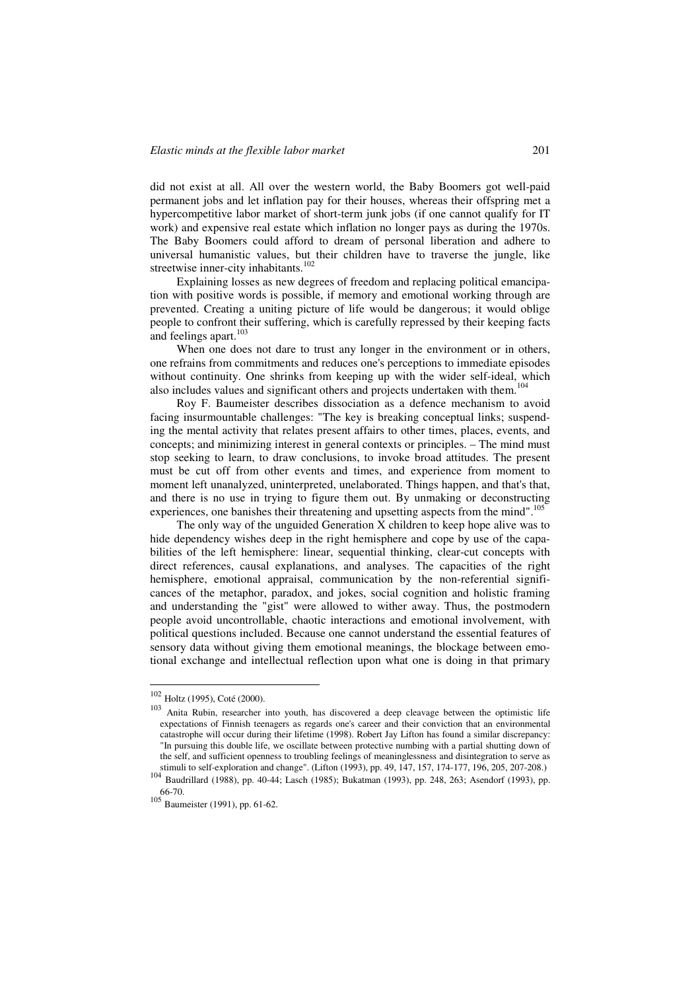did not exist at all. All over the western world, the Baby Boomers got well-paid permanent jobs and let inflation pay for their houses, whereas their offspring met a hypercompetitive labor market of short-term junk jobs (if one cannot qualify for IT work) and expensive real estate which inflation no longer pays as during the 1970s. The Baby Boomers could afford to dream of personal liberation and adhere to universal humanistic values, but their children have to traverse the jungle, like streetwise inner-city inhabitants.<sup>102</sup>

Explaining losses as new degrees of freedom and replacing political emancipation with positive words is possible, if memory and emotional working through are prevented. Creating a uniting picture of life would be dangerous; it would oblige people to confront their suffering, which is carefully repressed by their keeping facts and feelings apart.<sup>103</sup>

When one does not dare to trust any longer in the environment or in others, one refrains from commitments and reduces one's perceptions to immediate episodes without continuity. One shrinks from keeping up with the wider self-ideal, which also includes values and significant others and projects undertaken with them.<sup>104</sup>

Roy F. Baumeister describes dissociation as a defence mechanism to avoid facing insurmountable challenges: "The key is breaking conceptual links; suspending the mental activity that relates present affairs to other times, places, events, and concepts; and minimizing interest in general contexts or principles. – The mind must stop seeking to learn, to draw conclusions, to invoke broad attitudes. The present must be cut off from other events and times, and experience from moment to moment left unanalyzed, uninterpreted, unelaborated. Things happen, and that's that, and there is no use in trying to figure them out. By unmaking or deconstructing experiences, one banishes their threatening and upsetting aspects from the mind".<sup>105</sup>

The only way of the unguided Generation X children to keep hope alive was to hide dependency wishes deep in the right hemisphere and cope by use of the capabilities of the left hemisphere: linear, sequential thinking, clear-cut concepts with direct references, causal explanations, and analyses. The capacities of the right hemisphere, emotional appraisal, communication by the non-referential significances of the metaphor, paradox, and jokes, social cognition and holistic framing and understanding the "gist" were allowed to wither away. Thus, the postmodern people avoid uncontrollable, chaotic interactions and emotional involvement, with political questions included. Because one cannot understand the essential features of sensory data without giving them emotional meanings, the blockage between emotional exchange and intellectual reflection upon what one is doing in that primary

<sup>102</sup> Holtz (1995), Coté (2000).

<sup>103</sup> Anita Rubin, researcher into youth, has discovered a deep cleavage between the optimistic life expectations of Finnish teenagers as regards one's career and their conviction that an environmental catastrophe will occur during their lifetime (1998). Robert Jay Lifton has found a similar discrepancy: "In pursuing this double life, we oscillate between protective numbing with a partial shutting down of the self, and sufficient openness to troubling feelings of meaninglessness and disintegration to serve as stimuli to self-exploration and change". (Lifton (1993), pp. 49, 147, 157, 174-177, 196, 205, 207-208.)

<sup>104</sup> Baudrillard (1988), pp. 40-44; Lasch (1985); Bukatman (1993), pp. 248, 263; Asendorf (1993), pp. 66-70.

<sup>105</sup> Baumeister (1991), pp. 61-62.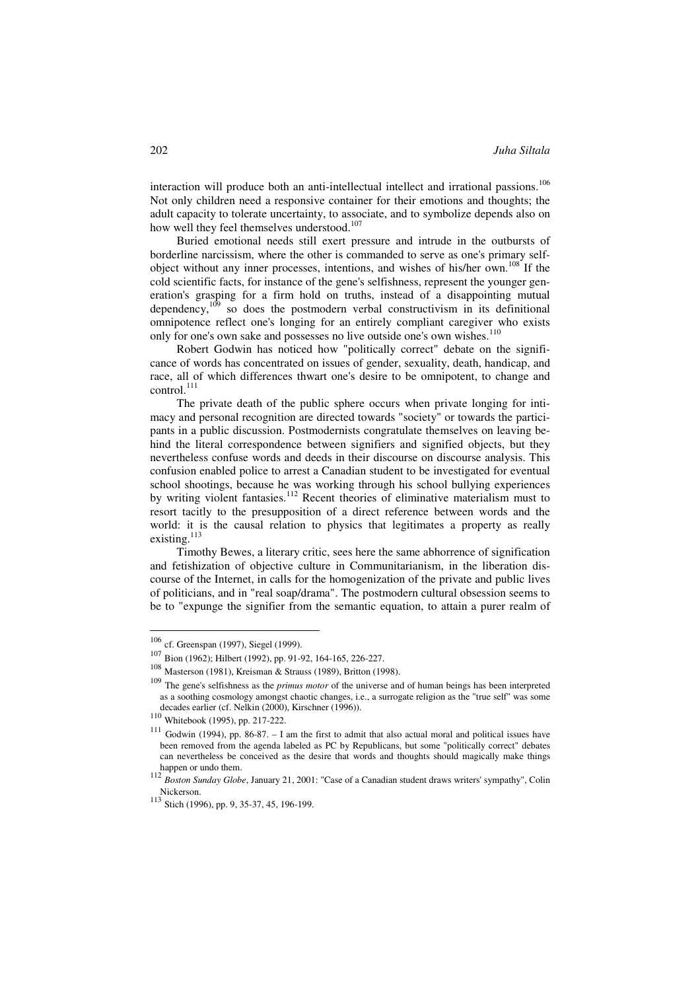interaction will produce both an anti-intellectual intellect and irrational passions.<sup>106</sup> Not only children need a responsive container for their emotions and thoughts; the adult capacity to tolerate uncertainty, to associate, and to symbolize depends also on how well they feel themselves understood.<sup>107</sup>

Buried emotional needs still exert pressure and intrude in the outbursts of borderline narcissism, where the other is commanded to serve as one's primary selfobject without any inner processes, intentions, and wishes of his/her own.<sup>108</sup> If the cold scientific facts, for instance of the gene's selfishness, represent the younger generation's grasping for a firm hold on truths, instead of a disappointing mutual dependency, $10^9$  so does the postmodern verbal constructivism in its definitional omnipotence reflect one's longing for an entirely compliant caregiver who exists only for one's own sake and possesses no live outside one's own wishes.<sup>110</sup>

Robert Godwin has noticed how "politically correct" debate on the significance of words has concentrated on issues of gender, sexuality, death, handicap, and race, all of which differences thwart one's desire to be omnipotent, to change and control.<sup>111</sup>

The private death of the public sphere occurs when private longing for intimacy and personal recognition are directed towards "society" or towards the participants in a public discussion. Postmodernists congratulate themselves on leaving behind the literal correspondence between signifiers and signified objects, but they nevertheless confuse words and deeds in their discourse on discourse analysis. This confusion enabled police to arrest a Canadian student to be investigated for eventual school shootings, because he was working through his school bullying experiences by writing violent fantasies.<sup>112</sup> Recent theories of eliminative materialism must to resort tacitly to the presupposition of a direct reference between words and the world: it is the causal relation to physics that legitimates a property as really existing. $^{113}$ 

Timothy Bewes, a literary critic, sees here the same abhorrence of signification and fetishization of objective culture in Communitarianism, in the liberation discourse of the Internet, in calls for the homogenization of the private and public lives of politicians, and in "real soap/drama". The postmodern cultural obsession seems to be to "expunge the signifier from the semantic equation, to attain a purer realm of

<sup>106</sup> cf. Greenspan (1997), Siegel (1999).

<sup>107</sup> Bion (1962); Hilbert (1992), pp. 91-92, 164-165, 226-227.<br>108 Masterson (1091), Krajsman & Strauss (1989), Britton (19

Masterson (1981), Kreisman & Strauss (1989), Britton (1998).

<sup>109</sup> The gene's selfishness as the *primus motor* of the universe and of human beings has been interpreted as a soothing cosmology amongst chaotic changes, i.e., a surrogate religion as the "true self" was some decades earlier (cf. Nelkin (2000), Kirschner (1996)).

 $\frac{110}{111}$  Whitebook (1995), pp. 217-222.

Godwin (1994), pp.  $86-87$ . – I am the first to admit that also actual moral and political issues have been removed from the agenda labeled as PC by Republicans, but some "politically correct" debates can nevertheless be conceived as the desire that words and thoughts should magically make things

happen or undo them. <sup>112</sup> *Boston Sunday Globe*, January 21, 2001: "Case of a Canadian student draws writers' sympathy", Colin Nickerson.<br><sup>113</sup> Stich (1996), pp. 9, 35-37, 45, 196-199.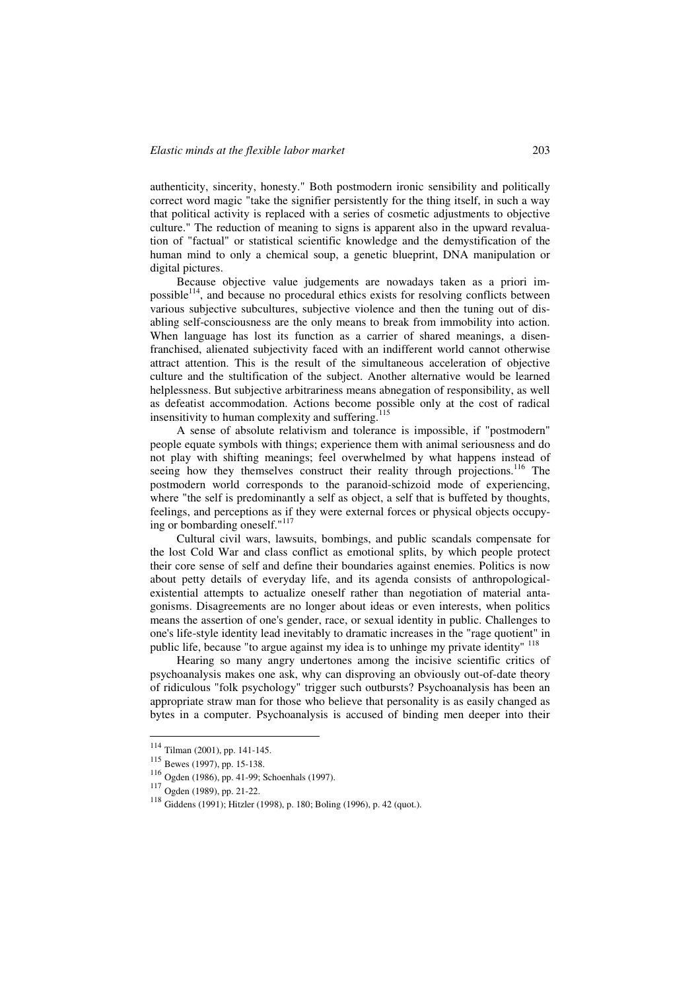authenticity, sincerity, honesty." Both postmodern ironic sensibility and politically correct word magic "take the signifier persistently for the thing itself, in such a way that political activity is replaced with a series of cosmetic adjustments to objective culture." The reduction of meaning to signs is apparent also in the upward revaluation of "factual" or statistical scientific knowledge and the demystification of the human mind to only a chemical soup, a genetic blueprint, DNA manipulation or digital pictures.

Because objective value judgements are nowadays taken as a priori impossible<sup>114</sup>, and because no procedural ethics exists for resolving conflicts between various subjective subcultures, subjective violence and then the tuning out of disabling self-consciousness are the only means to break from immobility into action. When language has lost its function as a carrier of shared meanings, a disenfranchised, alienated subjectivity faced with an indifferent world cannot otherwise attract attention. This is the result of the simultaneous acceleration of objective culture and the stultification of the subject. Another alternative would be learned helplessness. But subjective arbitrariness means abnegation of responsibility, as well as defeatist accommodation. Actions become possible only at the cost of radical insensitivity to human complexity and suffering.<sup>115</sup>

A sense of absolute relativism and tolerance is impossible, if "postmodern" people equate symbols with things; experience them with animal seriousness and do not play with shifting meanings; feel overwhelmed by what happens instead of seeing how they themselves construct their reality through projections.<sup>116</sup> The postmodern world corresponds to the paranoid-schizoid mode of experiencing, where "the self is predominantly a self as object, a self that is buffeted by thoughts, feelings, and perceptions as if they were external forces or physical objects occupying or bombarding oneself."<sup>117</sup>

Cultural civil wars, lawsuits, bombings, and public scandals compensate for the lost Cold War and class conflict as emotional splits, by which people protect their core sense of self and define their boundaries against enemies. Politics is now about petty details of everyday life, and its agenda consists of anthropologicalexistential attempts to actualize oneself rather than negotiation of material antagonisms. Disagreements are no longer about ideas or even interests, when politics means the assertion of one's gender, race, or sexual identity in public. Challenges to one's life-style identity lead inevitably to dramatic increases in the "rage quotient" in public life, because "to argue against my idea is to unhinge my private identity" <sup>118</sup>

Hearing so many angry undertones among the incisive scientific critics of psychoanalysis makes one ask, why can disproving an obviously out-of-date theory of ridiculous "folk psychology" trigger such outbursts? Psychoanalysis has been an appropriate straw man for those who believe that personality is as easily changed as bytes in a computer. Psychoanalysis is accused of binding men deeper into their

<sup>114</sup> Tilman (2001), pp. 141-145.

<sup>115</sup> Bewes (1997), pp. 15-138.

<sup>116</sup> Ogden (1986), pp. 41-99; Schoenhals (1997). <sup>117</sup> Ogden (1989), pp. 21-22.

<sup>118</sup> Giddens (1991); Hitzler (1998), p. 180; Boling (1996), p. 42 (quot.).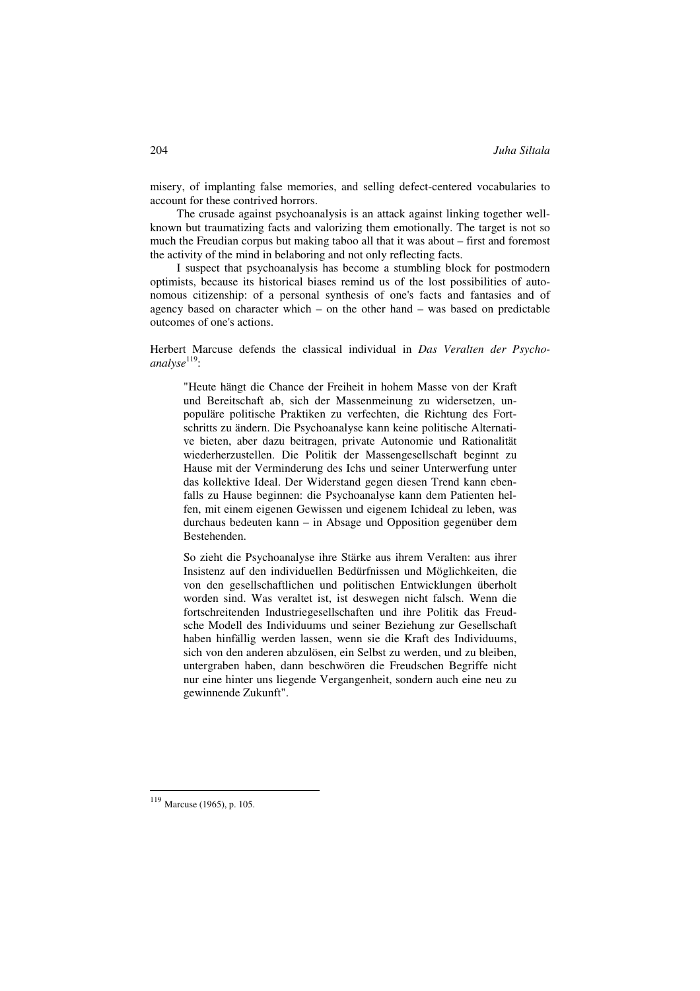misery, of implanting false memories, and selling defect-centered vocabularies to account for these contrived horrors.

The crusade against psychoanalysis is an attack against linking together wellknown but traumatizing facts and valorizing them emotionally. The target is not so much the Freudian corpus but making taboo all that it was about – first and foremost the activity of the mind in belaboring and not only reflecting facts.

I suspect that psychoanalysis has become a stumbling block for postmodern optimists, because its historical biases remind us of the lost possibilities of autonomous citizenship: of a personal synthesis of one's facts and fantasies and of agency based on character which – on the other hand – was based on predictable outcomes of one's actions.

Herbert Marcuse defends the classical individual in *Das Veralten der Psycho*analyse<sup>119</sup>:

"Heute hängt die Chance der Freiheit in hohem Masse von der Kraft und Bereitschaft ab, sich der Massenmeinung zu widersetzen, unpopuläre politische Praktiken zu verfechten, die Richtung des Fortschritts zu ändern. Die Psychoanalyse kann keine politische Alternative bieten, aber dazu beitragen, private Autonomie und Rationalität wiederherzustellen. Die Politik der Massengesellschaft beginnt zu Hause mit der Verminderung des Ichs und seiner Unterwerfung unter das kollektive Ideal. Der Widerstand gegen diesen Trend kann ebenfalls zu Hause beginnen: die Psychoanalyse kann dem Patienten helfen, mit einem eigenen Gewissen und eigenem Ichideal zu leben, was durchaus bedeuten kann – in Absage und Opposition gegenüber dem Bestehenden.

So zieht die Psychoanalyse ihre Stärke aus ihrem Veralten: aus ihrer Insistenz auf den individuellen Bedürfnissen und Möglichkeiten, die von den gesellschaftlichen und politischen Entwicklungen überholt worden sind. Was veraltet ist, ist deswegen nicht falsch. Wenn die fortschreitenden Industriegesellschaften und ihre Politik das Freudsche Modell des Individuums und seiner Beziehung zur Gesellschaft haben hinfällig werden lassen, wenn sie die Kraft des Individuums, sich von den anderen abzulösen, ein Selbst zu werden, und zu bleiben, untergraben haben, dann beschwören die Freudschen Begriffe nicht nur eine hinter uns liegende Vergangenheit, sondern auch eine neu zu gewinnende Zukunft".

<sup>119</sup> Marcuse (1965), p. 105.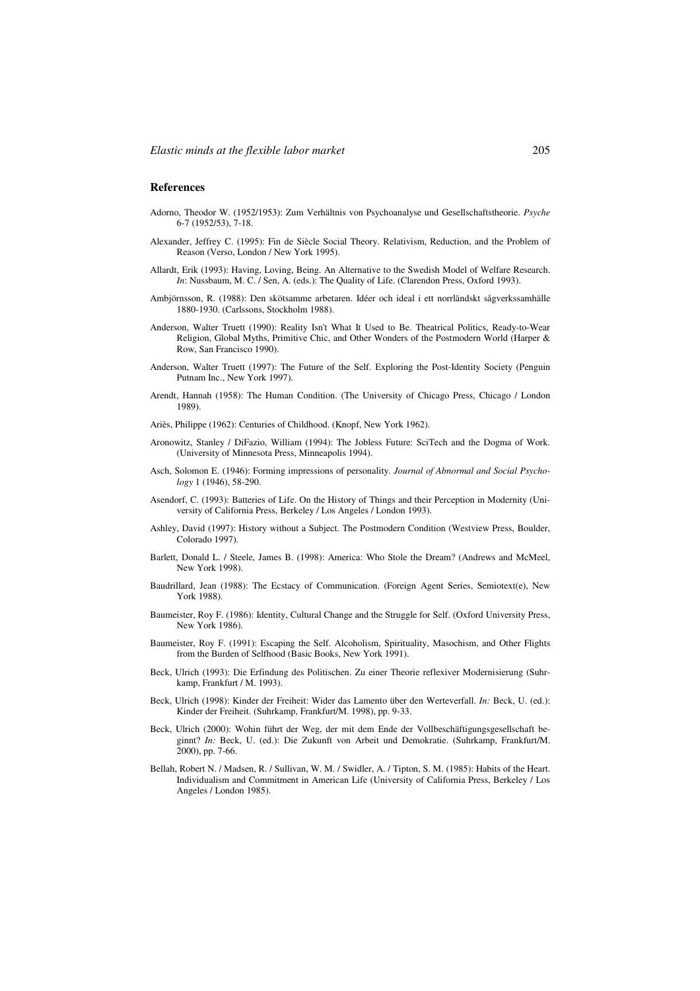## **References**

- Adorno, Theodor W. (1952/1953): Zum Verhältnis von Psychoanalyse und Gesellschaftstheorie. *Psyche* 6-7 (1952/53), 7-18.
- Alexander, Jeffrey C. (1995): Fin de Siècle Social Theory. Relativism, Reduction, and the Problem of Reason (Verso, London / New York 1995).
- Allardt, Erik (1993): Having, Loving, Being. An Alternative to the Swedish Model of Welfare Research. *In*: Nussbaum, M. C. / Sen, A. (eds.): The Quality of Life. (Clarendon Press, Oxford 1993).
- Ambjörnsson, R. (1988): Den skötsamme arbetaren. Idéer och ideal i ett norrländskt sågverkssamhälle 1880-1930. (Carlssons, Stockholm 1988).
- Anderson, Walter Truett (1990): Reality Isn't What It Used to Be. Theatrical Politics, Ready-to-Wear Religion, Global Myths, Primitive Chic, and Other Wonders of the Postmodern World (Harper & Row, San Francisco 1990).
- Anderson, Walter Truett (1997): The Future of the Self. Exploring the Post-Identity Society (Penguin Putnam Inc., New York 1997).
- Arendt, Hannah (1958): The Human Condition. (The University of Chicago Press, Chicago / London 1989).
- Ariès, Philippe (1962): Centuries of Childhood. (Knopf, New York 1962).
- Aronowitz, Stanley / DiFazio, William (1994): The Jobless Future: SciTech and the Dogma of Work. (University of Minnesota Press, Minneapolis 1994).
- Asch, Solomon E. (1946): Forming impressions of personality. *Journal of Abnormal and Social Psychology* 1 (1946), 58-290.
- Asendorf, C. (1993): Batteries of Life. On the History of Things and their Perception in Modernity (University of California Press, Berkeley / Los Angeles / London 1993).
- Ashley, David (1997): History without a Subject. The Postmodern Condition (Westview Press, Boulder, Colorado 1997).
- Barlett, Donald L. / Steele, James B. (1998): America: Who Stole the Dream? (Andrews and McMeel, New York 1998).
- Baudrillard, Jean (1988): The Ecstacy of Communication. (Foreign Agent Series, Semiotext(e), New York 1988).
- Baumeister, Roy F. (1986): Identity, Cultural Change and the Struggle for Self. (Oxford University Press, New York 1986).
- Baumeister, Roy F. (1991): Escaping the Self. Alcoholism, Spirituality, Masochism, and Other Flights from the Burden of Selfhood (Basic Books, New York 1991).
- Beck, Ulrich (1993): Die Erfindung des Politischen. Zu einer Theorie reflexiver Modernisierung (Suhrkamp, Frankfurt / M. 1993).
- Beck, Ulrich (1998): Kinder der Freiheit: Wider das Lamento über den Werteverfall. *In:* Beck, U. (ed.): Kinder der Freiheit. (Suhrkamp, Frankfurt/M. 1998), pp. 9-33.
- Beck, Ulrich (2000): Wohin führt der Weg, der mit dem Ende der Vollbeschäftigungsgesellschaft beginnt? *In:* Beck, U. (ed.): Die Zukunft von Arbeit und Demokratie. (Suhrkamp, Frankfurt/M. 2000), pp. 7-66.
- Bellah, Robert N. / Madsen, R. / Sullivan, W. M. / Swidler, A. / Tipton, S. M. (1985): Habits of the Heart. Individualism and Commitment in American Life (University of California Press, Berkeley / Los Angeles / London 1985).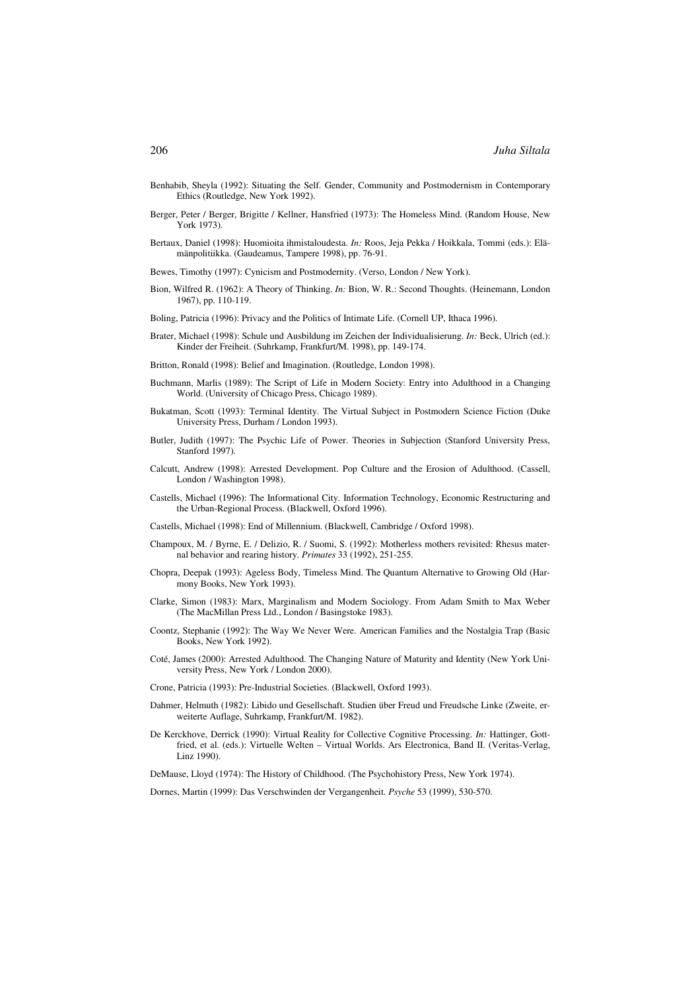- Benhabib, Sheyla (1992): Situating the Self. Gender, Community and Postmodernism in Contemporary Ethics (Routledge, New York 1992).
- Berger, Peter / Berger, Brigitte / Kellner, Hansfried (1973): The Homeless Mind. (Random House, New York 1973).
- Bertaux, Daniel (1998): Huomioita ihmistaloudesta. *In:* Roos, Jeja Pekka / Hoikkala, Tommi (eds.): Elämänpolitiikka. (Gaudeamus, Tampere 1998), pp. 76-91.
- Bewes, Timothy (1997): Cynicism and Postmodernity. (Verso, London / New York).
- Bion, Wilfred R. (1962): A Theory of Thinking. *In:* Bion, W. R.: Second Thoughts. (Heinemann, London 1967), pp. 110-119.
- Boling, Patricia (1996): Privacy and the Politics of Intimate Life. (Cornell UP, Ithaca 1996).
- Brater, Michael (1998): Schule und Ausbildung im Zeichen der Individualisierung. *In:* Beck, Ulrich (ed.): Kinder der Freiheit. (Suhrkamp, Frankfurt/M. 1998), pp. 149-174.
- Britton, Ronald (1998): Belief and Imagination. (Routledge, London 1998).
- Buchmann, Marlis (1989): The Script of Life in Modern Society: Entry into Adulthood in a Changing World. (University of Chicago Press, Chicago 1989).
- Bukatman, Scott (1993): Terminal Identity. The Virtual Subject in Postmodern Science Fiction (Duke University Press, Durham / London 1993).
- Butler, Judith (1997): The Psychic Life of Power. Theories in Subjection (Stanford University Press, Stanford 1997).
- Calcutt, Andrew (1998): Arrested Development. Pop Culture and the Erosion of Adulthood. (Cassell, London / Washington 1998).
- Castells, Michael (1996): The Informational City. Information Technology, Economic Restructuring and the Urban-Regional Process. (Blackwell, Oxford 1996).
- Castells, Michael (1998): End of Millennium. (Blackwell, Cambridge / Oxford 1998).
- Champoux, M. / Byrne, E. / Delizio, R. / Suomi, S. (1992): Motherless mothers revisited: Rhesus maternal behavior and rearing history. *Primates* 33 (1992), 251-255.
- Chopra, Deepak (1993): Ageless Body, Timeless Mind. The Quantum Alternative to Growing Old (Harmony Books, New York 1993).
- Clarke, Simon (1983): Marx, Marginalism and Modern Sociology. From Adam Smith to Max Weber (The MacMillan Press Ltd., London / Basingstoke 1983).
- Coontz, Stephanie (1992): The Way We Never Were. American Families and the Nostalgia Trap (Basic Books, New York 1992).
- Coté, James (2000): Arrested Adulthood. The Changing Nature of Maturity and Identity (New York University Press, New York / London 2000).
- Crone, Patricia (1993): Pre-Industrial Societies. (Blackwell, Oxford 1993).
- Dahmer, Helmuth (1982): Libido und Gesellschaft. Studien über Freud und Freudsche Linke (Zweite, erweiterte Auflage, Suhrkamp, Frankfurt/M. 1982).
- De Kerckhove, Derrick (1990): Virtual Reality for Collective Cognitive Processing. *In:* Hattinger, Gottfried, et al. (eds.): Virtuelle Welten – Virtual Worlds. Ars Electronica, Band II. (Veritas-Verlag, Linz 1990).
- DeMause, Lloyd (1974): The History of Childhood. (The Psychohistory Press, New York 1974).

Dornes, Martin (1999): Das Verschwinden der Vergangenheit. *Psyche* 53 (1999), 530-570.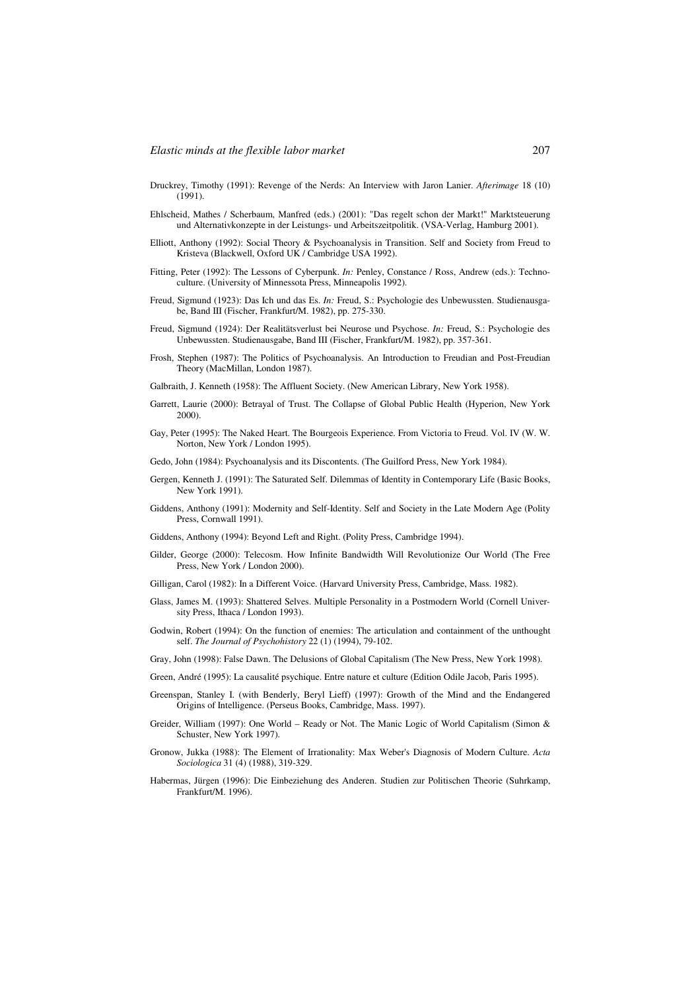- Druckrey, Timothy (1991): Revenge of the Nerds: An Interview with Jaron Lanier. *Afterimage* 18 (10) (1991).
- Ehlscheid, Mathes / Scherbaum, Manfred (eds.) (2001): "Das regelt schon der Markt!" Marktsteuerung und Alternativkonzepte in der Leistungs- und Arbeitszeitpolitik. (VSA-Verlag, Hamburg 2001).
- Elliott, Anthony (1992): Social Theory & Psychoanalysis in Transition. Self and Society from Freud to Kristeva (Blackwell, Oxford UK / Cambridge USA 1992).
- Fitting, Peter (1992): The Lessons of Cyberpunk. *In:* Penley, Constance / Ross, Andrew (eds.): Technoculture. (University of Minnessota Press, Minneapolis 1992).
- Freud, Sigmund (1923): Das Ich und das Es. *In:* Freud, S.: Psychologie des Unbewussten. Studienausgabe, Band III (Fischer, Frankfurt/M. 1982), pp. 275-330.
- Freud, Sigmund (1924): Der Realitätsverlust bei Neurose und Psychose. *In:* Freud, S.: Psychologie des Unbewussten. Studienausgabe, Band III (Fischer, Frankfurt/M. 1982), pp. 357-361.
- Frosh, Stephen (1987): The Politics of Psychoanalysis. An Introduction to Freudian and Post-Freudian Theory (MacMillan, London 1987).
- Galbraith, J. Kenneth (1958): The Affluent Society. (New American Library, New York 1958).
- Garrett, Laurie (2000): Betrayal of Trust. The Collapse of Global Public Health (Hyperion, New York 2000).
- Gay, Peter (1995): The Naked Heart. The Bourgeois Experience. From Victoria to Freud. Vol. IV (W. W. Norton, New York / London 1995).
- Gedo, John (1984): Psychoanalysis and its Discontents. (The Guilford Press, New York 1984).
- Gergen, Kenneth J. (1991): The Saturated Self. Dilemmas of Identity in Contemporary Life (Basic Books, New York 1991).
- Giddens, Anthony (1991): Modernity and Self-Identity. Self and Society in the Late Modern Age (Polity Press, Cornwall 1991).
- Giddens, Anthony (1994): Beyond Left and Right. (Polity Press, Cambridge 1994).
- Gilder, George (2000): Telecosm. How Infinite Bandwidth Will Revolutionize Our World (The Free Press, New York / London 2000).
- Gilligan, Carol (1982): In a Different Voice. (Harvard University Press, Cambridge, Mass. 1982).
- Glass, James M. (1993): Shattered Selves. Multiple Personality in a Postmodern World (Cornell University Press, Ithaca / London 1993).
- Godwin, Robert (1994): On the function of enemies: The articulation and containment of the unthought self. *The Journal of Psychohistory* 22 (1) (1994), 79-102.
- Gray, John (1998): False Dawn. The Delusions of Global Capitalism (The New Press, New York 1998).
- Green, André (1995): La causalité psychique. Entre nature et culture (Edition Odile Jacob, Paris 1995).
- Greenspan, Stanley I. (with Benderly, Beryl Lieff) (1997): Growth of the Mind and the Endangered Origins of Intelligence. (Perseus Books, Cambridge, Mass. 1997).
- Greider, William (1997): One World Ready or Not. The Manic Logic of World Capitalism (Simon & Schuster, New York 1997).
- Gronow, Jukka (1988): The Element of Irrationality: Max Weber's Diagnosis of Modern Culture. *Acta Sociologica* 31 (4) (1988), 319-329.
- Habermas, Jürgen (1996): Die Einbeziehung des Anderen. Studien zur Politischen Theorie (Suhrkamp, Frankfurt/M. 1996).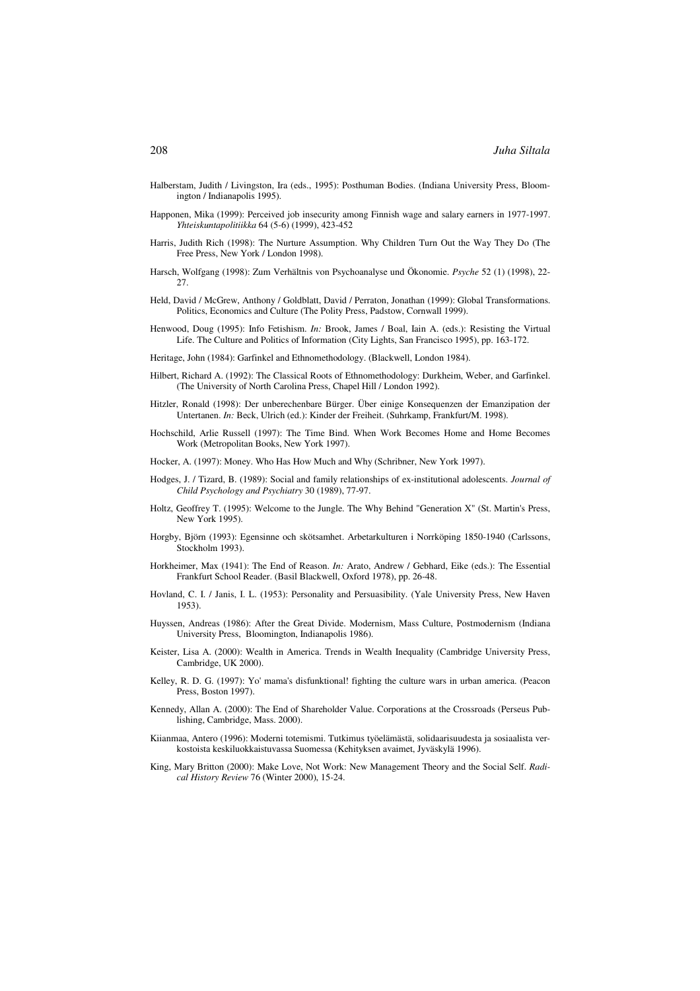- Halberstam, Judith / Livingston, Ira (eds., 1995): Posthuman Bodies. (Indiana University Press, Bloomington / Indianapolis 1995).
- Happonen, Mika (1999): Perceived job insecurity among Finnish wage and salary earners in 1977-1997. *Yhteiskuntapolitiikka* 64 (5-6) (1999), 423-452
- Harris, Judith Rich (1998): The Nurture Assumption. Why Children Turn Out the Way They Do (The Free Press, New York / London 1998).
- Harsch, Wolfgang (1998): Zum Verhältnis von Psychoanalyse und Ökonomie. *Psyche* 52 (1) (1998), 22- 27.
- Held, David / McGrew, Anthony / Goldblatt, David / Perraton, Jonathan (1999): Global Transformations. Politics, Economics and Culture (The Polity Press, Padstow, Cornwall 1999).
- Henwood, Doug (1995): Info Fetishism. *In:* Brook, James / Boal, Iain A. (eds.): Resisting the Virtual Life. The Culture and Politics of Information (City Lights, San Francisco 1995), pp. 163-172.
- Heritage, John (1984): Garfinkel and Ethnomethodology. (Blackwell, London 1984).
- Hilbert, Richard A. (1992): The Classical Roots of Ethnomethodology: Durkheim, Weber, and Garfinkel. (The University of North Carolina Press, Chapel Hill / London 1992).
- Hitzler, Ronald (1998): Der unberechenbare Bürger. Über einige Konsequenzen der Emanzipation der Untertanen. *In:* Beck, Ulrich (ed.): Kinder der Freiheit. (Suhrkamp, Frankfurt/M. 1998).
- Hochschild, Arlie Russell (1997): The Time Bind. When Work Becomes Home and Home Becomes Work (Metropolitan Books, New York 1997).
- Hocker, A. (1997): Money. Who Has How Much and Why (Schribner, New York 1997).
- Hodges, J. / Tizard, B. (1989): Social and family relationships of ex-institutional adolescents. *Journal of Child Psychology and Psychiatry* 30 (1989), 77-97.
- Holtz, Geoffrey T. (1995): Welcome to the Jungle. The Why Behind "Generation X" (St. Martin's Press, New York 1995).
- Horgby, Björn (1993): Egensinne och skötsamhet. Arbetarkulturen i Norrköping 1850-1940 (Carlssons, Stockholm 1993).
- Horkheimer, Max (1941): The End of Reason. *In:* Arato, Andrew / Gebhard, Eike (eds.): The Essential Frankfurt School Reader. (Basil Blackwell, Oxford 1978), pp. 26-48.
- Hovland, C. I. / Janis, I. L. (1953): Personality and Persuasibility. (Yale University Press, New Haven 1953).
- Huyssen, Andreas (1986): After the Great Divide. Modernism, Mass Culture, Postmodernism (Indiana University Press, Bloomington, Indianapolis 1986).
- Keister, Lisa A. (2000): Wealth in America. Trends in Wealth Inequality (Cambridge University Press, Cambridge, UK 2000).
- Kelley, R. D. G. (1997): Yo' mama's disfunktional! fighting the culture wars in urban america. (Peacon Press, Boston 1997).
- Kennedy, Allan A. (2000): The End of Shareholder Value. Corporations at the Crossroads (Perseus Publishing, Cambridge, Mass. 2000).
- Kiianmaa, Antero (1996): Moderni totemismi. Tutkimus työelämästä, solidaarisuudesta ja sosiaalista verkostoista keskiluokkaistuvassa Suomessa (Kehityksen avaimet, Jyväskylä 1996).
- King, Mary Britton (2000): Make Love, Not Work: New Management Theory and the Social Self. *Radical History Review* 76 (Winter 2000), 15-24.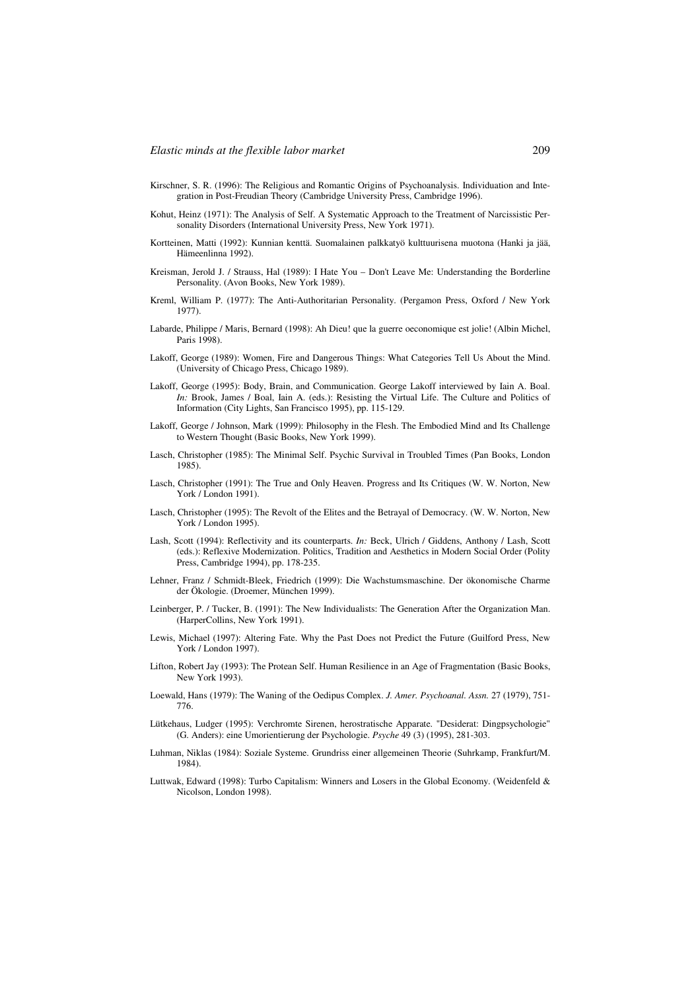- Kirschner, S. R. (1996): The Religious and Romantic Origins of Psychoanalysis. Individuation and Integration in Post-Freudian Theory (Cambridge University Press, Cambridge 1996).
- Kohut, Heinz (1971): The Analysis of Self. A Systematic Approach to the Treatment of Narcissistic Personality Disorders (International University Press, New York 1971).
- Kortteinen, Matti (1992): Kunnian kenttä. Suomalainen palkkatyö kulttuurisena muotona (Hanki ja jää, Hämeenlinna 1992).
- Kreisman, Jerold J. / Strauss, Hal (1989): I Hate You Don't Leave Me: Understanding the Borderline Personality. (Avon Books, New York 1989).
- Kreml, William P. (1977): The Anti-Authoritarian Personality. (Pergamon Press, Oxford / New York 1977).
- Labarde, Philippe / Maris, Bernard (1998): Ah Dieu! que la guerre oeconomique est jolie! (Albin Michel, Paris 1998).
- Lakoff, George (1989): Women, Fire and Dangerous Things: What Categories Tell Us About the Mind. (University of Chicago Press, Chicago 1989).
- Lakoff, George (1995): Body, Brain, and Communication. George Lakoff interviewed by Iain A. Boal. *In:* Brook, James / Boal, Iain A. (eds.): Resisting the Virtual Life. The Culture and Politics of Information (City Lights, San Francisco 1995), pp. 115-129.
- Lakoff, George / Johnson, Mark (1999): Philosophy in the Flesh. The Embodied Mind and Its Challenge to Western Thought (Basic Books, New York 1999).
- Lasch, Christopher (1985): The Minimal Self. Psychic Survival in Troubled Times (Pan Books, London 1985).
- Lasch, Christopher (1991): The True and Only Heaven. Progress and Its Critiques (W. W. Norton, New York / London 1991).
- Lasch, Christopher (1995): The Revolt of the Elites and the Betrayal of Democracy. (W. W. Norton, New York / London 1995).
- Lash, Scott (1994): Reflectivity and its counterparts. *In:* Beck, Ulrich / Giddens, Anthony / Lash, Scott (eds.): Reflexive Modernization. Politics, Tradition and Aesthetics in Modern Social Order (Polity Press, Cambridge 1994), pp. 178-235.
- Lehner, Franz / Schmidt-Bleek, Friedrich (1999): Die Wachstumsmaschine. Der ökonomische Charme der Ökologie. (Droemer, München 1999).
- Leinberger, P. / Tucker, B. (1991): The New Individualists: The Generation After the Organization Man. (HarperCollins, New York 1991).
- Lewis, Michael (1997): Altering Fate. Why the Past Does not Predict the Future (Guilford Press, New York / London 1997).
- Lifton, Robert Jay (1993): The Protean Self. Human Resilience in an Age of Fragmentation (Basic Books, New York 1993).
- Loewald, Hans (1979): The Waning of the Oedipus Complex. *J. Amer. Psychoanal. Assn.* 27 (1979), 751- 776.
- Lütkehaus, Ludger (1995): Verchromte Sirenen, herostratische Apparate. "Desiderat: Dingpsychologie" (G. Anders): eine Umorientierung der Psychologie. *Psyche* 49 (3) (1995), 281-303.
- Luhman, Niklas (1984): Soziale Systeme. Grundriss einer allgemeinen Theorie (Suhrkamp, Frankfurt/M. 1984).
- Luttwak, Edward (1998): Turbo Capitalism: Winners and Losers in the Global Economy. (Weidenfeld & Nicolson, London 1998).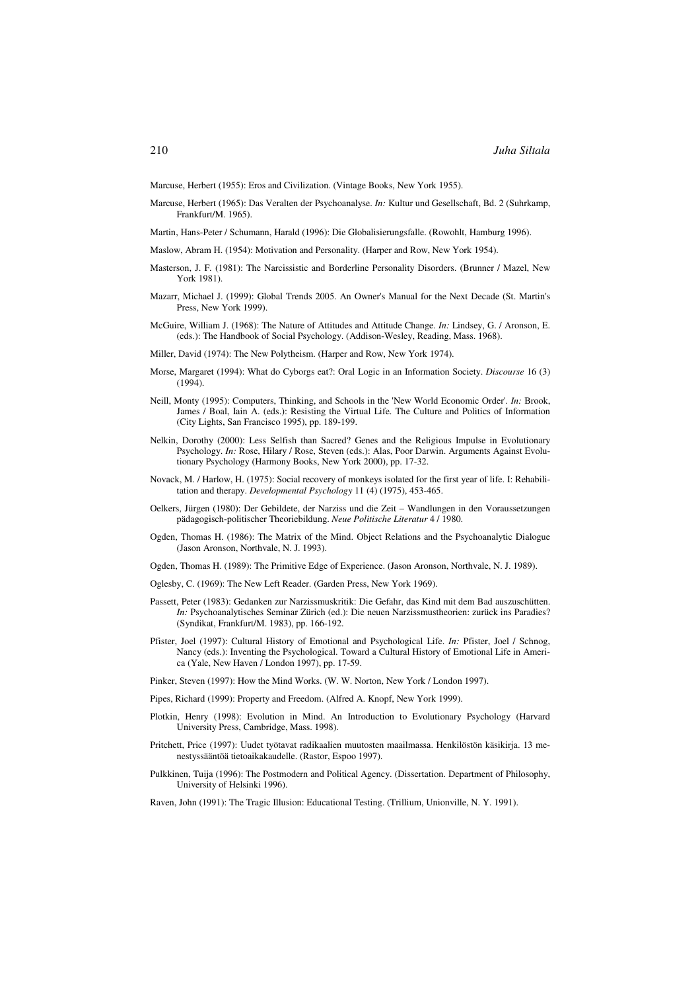Marcuse, Herbert (1955): Eros and Civilization. (Vintage Books, New York 1955).

- Marcuse, Herbert (1965): Das Veralten der Psychoanalyse. *In:* Kultur und Gesellschaft, Bd. 2 (Suhrkamp, Frankfurt/M. 1965).
- Martin, Hans-Peter / Schumann, Harald (1996): Die Globalisierungsfalle. (Rowohlt, Hamburg 1996).
- Maslow, Abram H. (1954): Motivation and Personality. (Harper and Row, New York 1954).
- Masterson, J. F. (1981): The Narcissistic and Borderline Personality Disorders. (Brunner / Mazel, New York 1981).
- Mazarr, Michael J. (1999): Global Trends 2005. An Owner's Manual for the Next Decade (St. Martin's Press, New York 1999).
- McGuire, William J. (1968): The Nature of Attitudes and Attitude Change. *In:* Lindsey, G. / Aronson, E. (eds.): The Handbook of Social Psychology. (Addison-Wesley, Reading, Mass. 1968).
- Miller, David (1974): The New Polytheism. (Harper and Row, New York 1974).
- Morse, Margaret (1994): What do Cyborgs eat?: Oral Logic in an Information Society. *Discourse* 16 (3) (1994).
- Neill, Monty (1995): Computers, Thinking, and Schools in the 'New World Economic Order'. *In:* Brook, James / Boal, Iain A. (eds.): Resisting the Virtual Life. The Culture and Politics of Information (City Lights, San Francisco 1995), pp. 189-199.
- Nelkin, Dorothy (2000): Less Selfish than Sacred? Genes and the Religious Impulse in Evolutionary Psychology. *In:* Rose, Hilary / Rose, Steven (eds.): Alas, Poor Darwin. Arguments Against Evolutionary Psychology (Harmony Books, New York 2000), pp. 17-32.
- Novack, M. / Harlow, H. (1975): Social recovery of monkeys isolated for the first year of life. I: Rehabilitation and therapy. *Developmental Psychology* 11 (4) (1975), 453-465.
- Oelkers, Jürgen (1980): Der Gebildete, der Narziss und die Zeit Wandlungen in den Voraussetzungen pädagogisch-politischer Theoriebildung. *Neue Politische Literatur* 4 / 1980.
- Ogden, Thomas H. (1986): The Matrix of the Mind. Object Relations and the Psychoanalytic Dialogue (Jason Aronson, Northvale, N. J. 1993).
- Ogden, Thomas H. (1989): The Primitive Edge of Experience. (Jason Aronson, Northvale, N. J. 1989).
- Oglesby, C. (1969): The New Left Reader. (Garden Press, New York 1969).
- Passett, Peter (1983): Gedanken zur Narzissmuskritik: Die Gefahr, das Kind mit dem Bad auszuschütten. *In:* Psychoanalytisches Seminar Zürich (ed.): Die neuen Narzissmustheorien: zurück ins Paradies? (Syndikat, Frankfurt/M. 1983), pp. 166-192.
- Pfister, Joel (1997): Cultural History of Emotional and Psychological Life. *In:* Pfister, Joel / Schnog, Nancy (eds.): Inventing the Psychological. Toward a Cultural History of Emotional Life in America (Yale, New Haven / London 1997), pp. 17-59.
- Pinker, Steven (1997): How the Mind Works. (W. W. Norton, New York / London 1997).
- Pipes, Richard (1999): Property and Freedom. (Alfred A. Knopf, New York 1999).
- Plotkin, Henry (1998): Evolution in Mind. An Introduction to Evolutionary Psychology (Harvard University Press, Cambridge, Mass. 1998).
- Pritchett, Price (1997): Uudet työtavat radikaalien muutosten maailmassa. Henkilöstön käsikirja. 13 menestyssääntöä tietoaikakaudelle. (Rastor, Espoo 1997).
- Pulkkinen, Tuija (1996): The Postmodern and Political Agency. (Dissertation. Department of Philosophy, University of Helsinki 1996).
- Raven, John (1991): The Tragic Illusion: Educational Testing. (Trillium, Unionville, N. Y. 1991).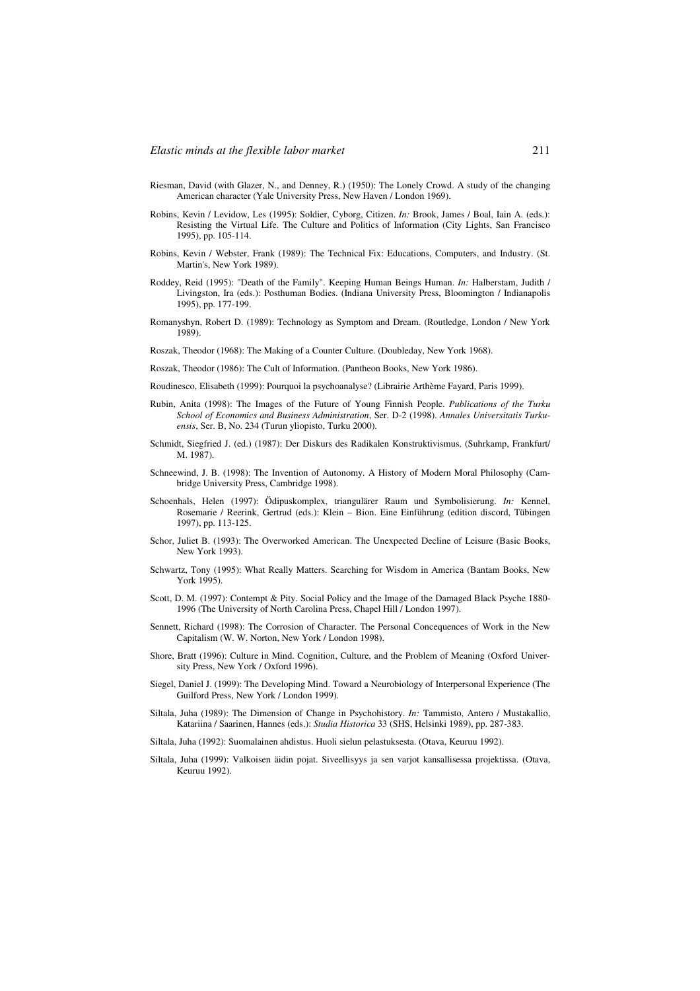- Riesman, David (with Glazer, N., and Denney, R.) (1950): The Lonely Crowd. A study of the changing American character (Yale University Press, New Haven / London 1969).
- Robins, Kevin / Levidow, Les (1995): Soldier, Cyborg, Citizen. *In:* Brook, James / Boal, Iain A. (eds.): Resisting the Virtual Life. The Culture and Politics of Information (City Lights, San Francisco 1995), pp. 105-114.
- Robins, Kevin / Webster, Frank (1989): The Technical Fix: Educations, Computers, and Industry. (St. Martin's, New York 1989).
- Roddey, Reid (1995): "Death of the Family". Keeping Human Beings Human. *In:* Halberstam, Judith / Livingston, Ira (eds.): Posthuman Bodies. (Indiana University Press, Bloomington / Indianapolis 1995), pp. 177-199.
- Romanyshyn, Robert D. (1989): Technology as Symptom and Dream. (Routledge, London / New York 1989).
- Roszak, Theodor (1968): The Making of a Counter Culture. (Doubleday, New York 1968).
- Roszak, Theodor (1986): The Cult of Information. (Pantheon Books, New York 1986).
- Roudinesco, Elisabeth (1999): Pourquoi la psychoanalyse? (Librairie Arthème Fayard, Paris 1999).
- Rubin, Anita (1998): The Images of the Future of Young Finnish People. *Publications of the Turku School of Economics and Business Administration*, Ser. D-2 (1998). *Annales Universitatis Turkuensis*, Ser. B, No. 234 (Turun yliopisto, Turku 2000).
- Schmidt, Siegfried J. (ed.) (1987): Der Diskurs des Radikalen Konstruktivismus. (Suhrkamp, Frankfurt/ M. 1987).
- Schneewind, J. B. (1998): The Invention of Autonomy. A History of Modern Moral Philosophy (Cambridge University Press, Cambridge 1998).
- Schoenhals, Helen (1997): Ödipuskomplex, triangulärer Raum und Symbolisierung. *In:* Kennel, Rosemarie / Reerink, Gertrud (eds.): Klein – Bion. Eine Einführung (edition discord, Tübingen 1997), pp. 113-125.
- Schor, Juliet B. (1993): The Overworked American. The Unexpected Decline of Leisure (Basic Books, New York 1993).
- Schwartz, Tony (1995): What Really Matters. Searching for Wisdom in America (Bantam Books, New York 1995).
- Scott, D. M. (1997): Contempt & Pity. Social Policy and the Image of the Damaged Black Psyche 1880- 1996 (The University of North Carolina Press, Chapel Hill / London 1997).
- Sennett, Richard (1998): The Corrosion of Character. The Personal Concequences of Work in the New Capitalism (W. W. Norton, New York / London 1998).
- Shore, Bratt (1996): Culture in Mind. Cognition, Culture, and the Problem of Meaning (Oxford University Press, New York / Oxford 1996).
- Siegel, Daniel J. (1999): The Developing Mind. Toward a Neurobiology of Interpersonal Experience (The Guilford Press, New York / London 1999).
- Siltala, Juha (1989): The Dimension of Change in Psychohistory. *In:* Tammisto, Antero / Mustakallio, Katariina / Saarinen, Hannes (eds.): *Studia Historica* 33 (SHS, Helsinki 1989), pp. 287-383.
- Siltala, Juha (1992): Suomalainen ahdistus. Huoli sielun pelastuksesta. (Otava, Keuruu 1992).
- Siltala, Juha (1999): Valkoisen äidin pojat. Siveellisyys ja sen varjot kansallisessa projektissa. (Otava, Keuruu 1992).